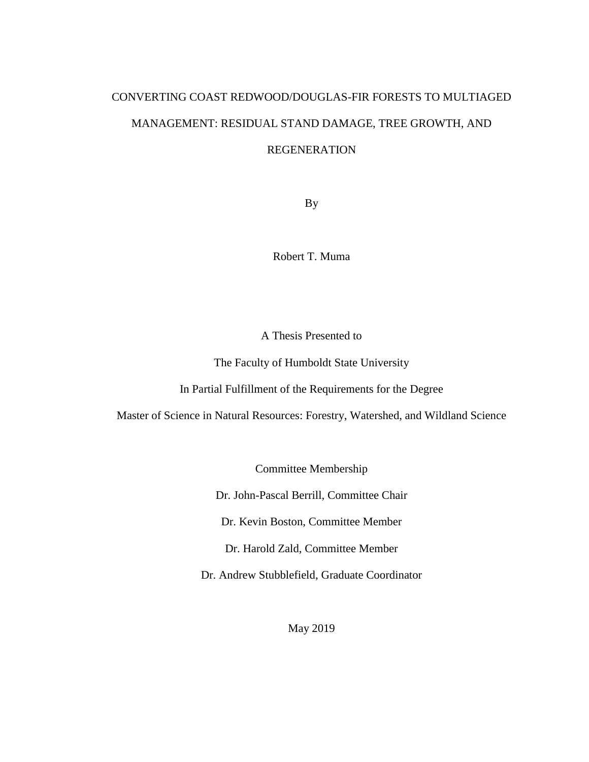# CONVERTING COAST REDWOOD/DOUGLAS-FIR FORESTS TO MULTIAGED MANAGEMENT: RESIDUAL STAND DAMAGE, TREE GROWTH, AND REGENERATION

By

Robert T. Muma

A Thesis Presented to

The Faculty of Humboldt State University

In Partial Fulfillment of the Requirements for the Degree

Master of Science in Natural Resources: Forestry, Watershed, and Wildland Science

Committee Membership

Dr. John-Pascal Berrill, Committee Chair

Dr. Kevin Boston, Committee Member

Dr. Harold Zald, Committee Member

Dr. Andrew Stubblefield, Graduate Coordinator

May 2019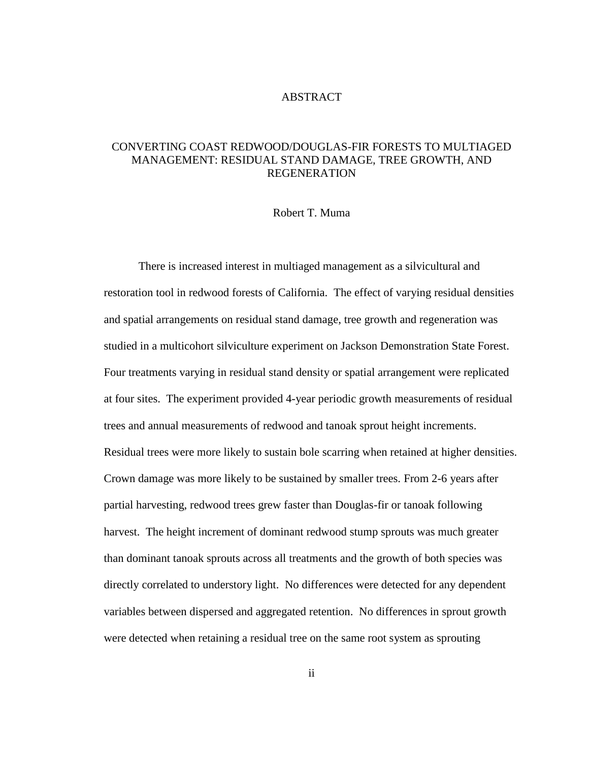#### ABSTRACT

## <span id="page-1-0"></span>CONVERTING COAST REDWOOD/DOUGLAS-FIR FORESTS TO MULTIAGED MANAGEMENT: RESIDUAL STAND DAMAGE, TREE GROWTH, AND REGENERATION

## Robert T. Muma

There is increased interest in multiaged management as a silvicultural and restoration tool in redwood forests of California. The effect of varying residual densities and spatial arrangements on residual stand damage, tree growth and regeneration was studied in a multicohort silviculture experiment on Jackson Demonstration State Forest. Four treatments varying in residual stand density or spatial arrangement were replicated at four sites. The experiment provided 4-year periodic growth measurements of residual trees and annual measurements of redwood and tanoak sprout height increments. Residual trees were more likely to sustain bole scarring when retained at higher densities. Crown damage was more likely to be sustained by smaller trees. From 2-6 years after partial harvesting, redwood trees grew faster than Douglas-fir or tanoak following harvest. The height increment of dominant redwood stump sprouts was much greater than dominant tanoak sprouts across all treatments and the growth of both species was directly correlated to understory light. No differences were detected for any dependent variables between dispersed and aggregated retention. No differences in sprout growth were detected when retaining a residual tree on the same root system as sprouting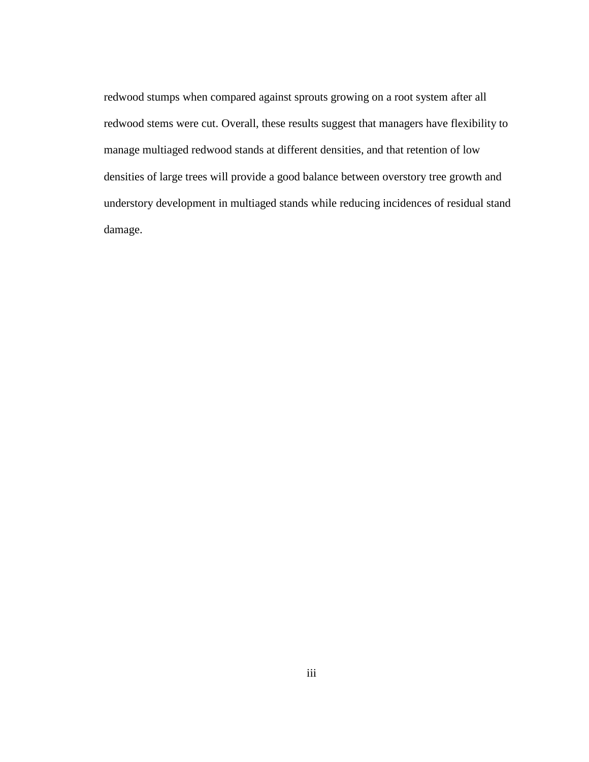redwood stumps when compared against sprouts growing on a root system after all redwood stems were cut. Overall, these results suggest that managers have flexibility to manage multiaged redwood stands at different densities, and that retention of low densities of large trees will provide a good balance between overstory tree growth and understory development in multiaged stands while reducing incidences of residual stand damage.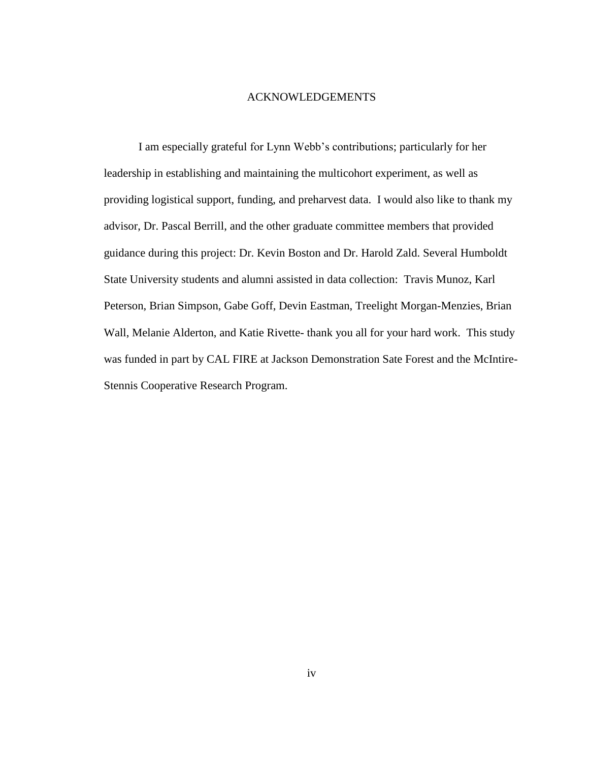#### ACKNOWLEDGEMENTS

<span id="page-3-0"></span>I am especially grateful for Lynn Webb's contributions; particularly for her leadership in establishing and maintaining the multicohort experiment, as well as providing logistical support, funding, and preharvest data. I would also like to thank my advisor, Dr. Pascal Berrill, and the other graduate committee members that provided guidance during this project: Dr. Kevin Boston and Dr. Harold Zald. Several Humboldt State University students and alumni assisted in data collection: Travis Munoz, Karl Peterson, Brian Simpson, Gabe Goff, Devin Eastman, Treelight Morgan-Menzies, Brian Wall, Melanie Alderton, and Katie Rivette- thank you all for your hard work. This study was funded in part by CAL FIRE at Jackson Demonstration Sate Forest and the McIntire-Stennis Cooperative Research Program.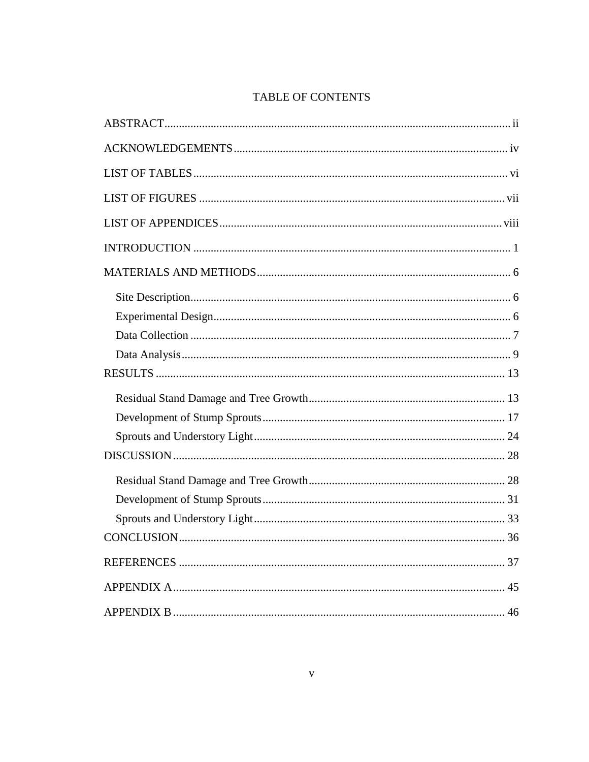# TABLE OF CONTENTS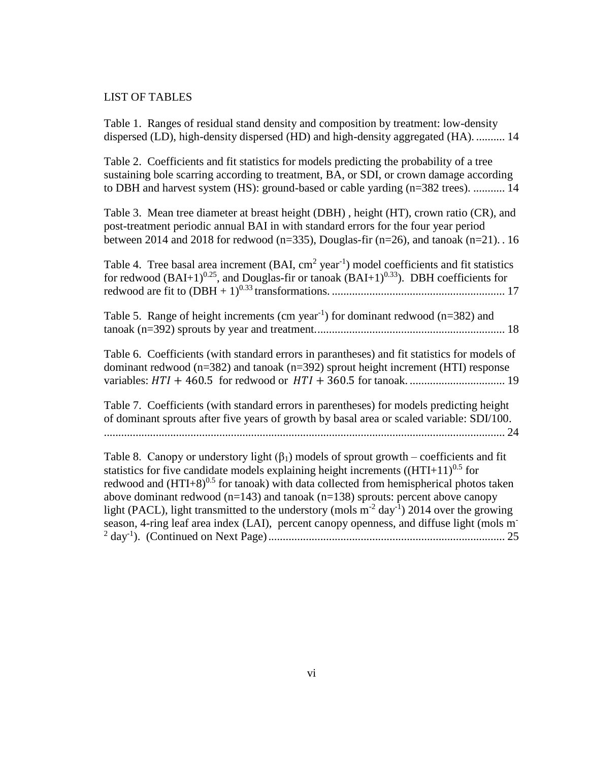#### <span id="page-5-0"></span>LIST OF TABLES

[Table 1. Ranges of residual stand density and composition by treatment: low-density](#page-21-0)  [dispersed \(LD\), high-density dispersed \(HD\) and high-density aggregated \(HA\).](#page-21-0) .......... 14

[Table 2. Coefficients and fit statistics for models predicting the probability of a tree](#page-21-1)  [sustaining bole scarring according to treatment, BA, or SDI, or crown damage according](#page-21-1)  [to DBH and harvest system \(HS\): ground-based or cable yarding \(n=382 trees\).](#page-21-1) ........... 14

[Table 3. Mean tree diameter at breast height \(DBH\) , height \(HT\), crown ratio \(CR\), and](#page-23-0)  [post-treatment periodic annual BAI in with standard errors for the four year period](#page-23-0)  between 2014 and 2018 for redwood ( $n=335$ ), Douglas-fir ( $n=26$ ), and tanoak ( $n=21$ ). . 16

| Table 4. Tree basal area increment $(BAI, cm^2 year^{-1})$ model coefficients and fit statistics  |  |
|---------------------------------------------------------------------------------------------------|--|
| for redwood $(BAI+1)^{0.25}$ , and Douglas-fir or tanoak $(BAI+1)^{0.33}$ ). DBH coefficients for |  |
|                                                                                                   |  |

| Table 5. Range of height increments (cm year <sup>-1</sup> ) for dominant redwood ( $n=382$ ) and |  |
|---------------------------------------------------------------------------------------------------|--|
|                                                                                                   |  |

[Table 6. Coefficients \(with standard errors in parantheses\) and fit statistics for models of](#page-26-0)  [dominant redwood \(n=382\) and tanoak \(n=392\) sprout height increment \(HTI\) response](#page-26-0)  variables: + 460.5 for redwood or + 360.5 for tanoak. [.................................](#page-26-0) 19

[Table 7. Coefficients \(with standard errors in parentheses\) for models predicting height](#page-31-1)  [of dominant sprouts after five years of growth by basal area or scaled variable: SDI/100.](#page-31-1) [...........................................................................................................................................](#page-31-1) 24

Table 8. Canopy or understory light  $(\beta_1)$  models of sprout growth – coefficients and fit statistics for five candidate models explaining height increments  $((HTI+11)^{0.5}$  for redwood and  $(HTI+8)^{0.5}$  for tanoak) with data collected from hemispherical photos taken above dominant redwood  $(n=143)$  and tanoak  $(n=138)$  sprouts: percent above canopy light (PACL), light transmitted to the understory (mols  $m^{-2}$  day<sup>-1</sup>) 2014 over the growing [season, 4-ring leaf area index \(LAI\), percent canopy openness, and diffuse light \(mols m](#page-32-0)-2 day-1 [\). \(Continued on Next Page\)..................................................................................](#page-32-0) 25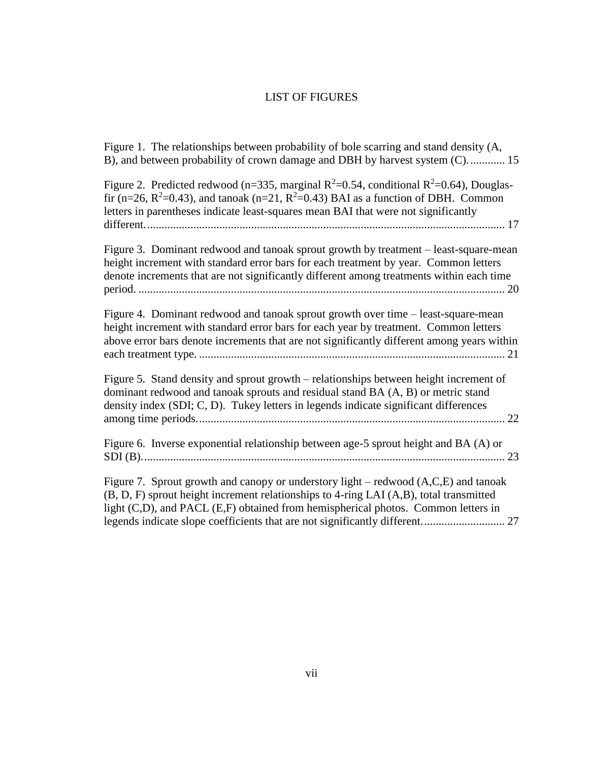# LIST OF FIGURES

<span id="page-6-0"></span>

| Figure 1. The relationships between probability of bole scarring and stand density (A,<br>B), and between probability of crown damage and DBH by harvest system (C) 15                                                                                                         |
|--------------------------------------------------------------------------------------------------------------------------------------------------------------------------------------------------------------------------------------------------------------------------------|
| Figure 2. Predicted redwood (n=335, marginal $R^2$ =0.54, conditional $R^2$ =0.64), Douglas-<br>fir (n=26, $R^2$ =0.43), and tanoak (n=21, $R^2$ =0.43) BAI as a function of DBH. Common<br>letters in parentheses indicate least-squares mean BAI that were not significantly |
| Figure 3. Dominant redwood and tanoak sprout growth by treatment - least-square-mean<br>height increment with standard error bars for each treatment by year. Common letters<br>denote increments that are not significantly different among treatments within each time       |
| Figure 4. Dominant redwood and tanoak sprout growth over time – least-square-mean<br>height increment with standard error bars for each year by treatment. Common letters<br>above error bars denote increments that are not significantly different among years within        |
| Figure 5. Stand density and sprout growth – relationships between height increment of<br>dominant redwood and tanoak sprouts and residual stand BA (A, B) or metric stand<br>density index (SDI; C, D). Tukey letters in legends indicate significant differences              |
| Figure 6. Inverse exponential relationship between age-5 sprout height and BA (A) or                                                                                                                                                                                           |
| Figure 7. Sprout growth and canopy or understory light – redwood $(A, C, E)$ and tanoak<br>(B, D, F) sprout height increment relationships to 4-ring LAI (A,B), total transmitted<br>light (C,D), and PACL (E,F) obtained from hemispherical photos. Common letters in         |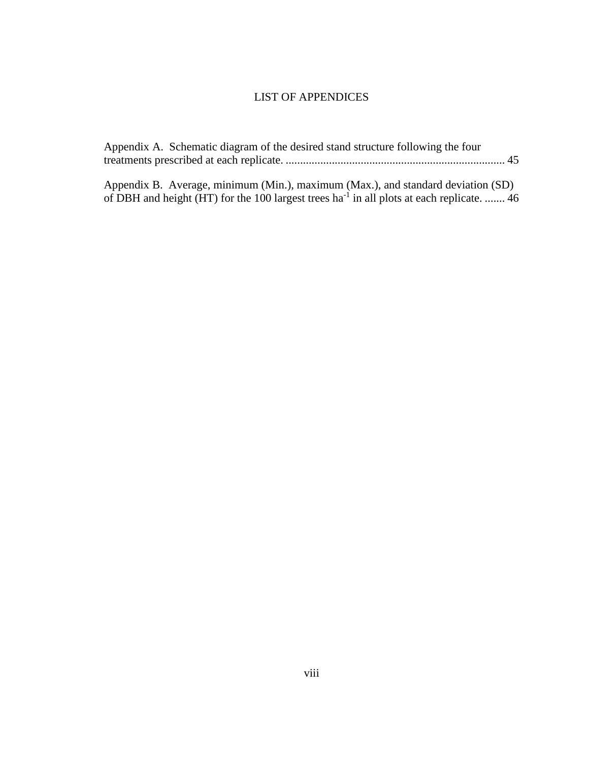# LIST OF APPENDICES

<span id="page-7-0"></span>

| Appendix A. Schematic diagram of the desired stand structure following the four |  |  |  |  |  |  |  |
|---------------------------------------------------------------------------------|--|--|--|--|--|--|--|
|                                                                                 |  |  |  |  |  |  |  |
|                                                                                 |  |  |  |  |  |  |  |

[Appendix B. Average, minimum \(Min.\), maximum \(Max.\), and standard deviation \(SD\)](#page-53-1)  [of DBH and height \(HT\) for the 100 largest trees ha](#page-53-1)<sup>-1</sup> in all plots at each replicate. ....... 46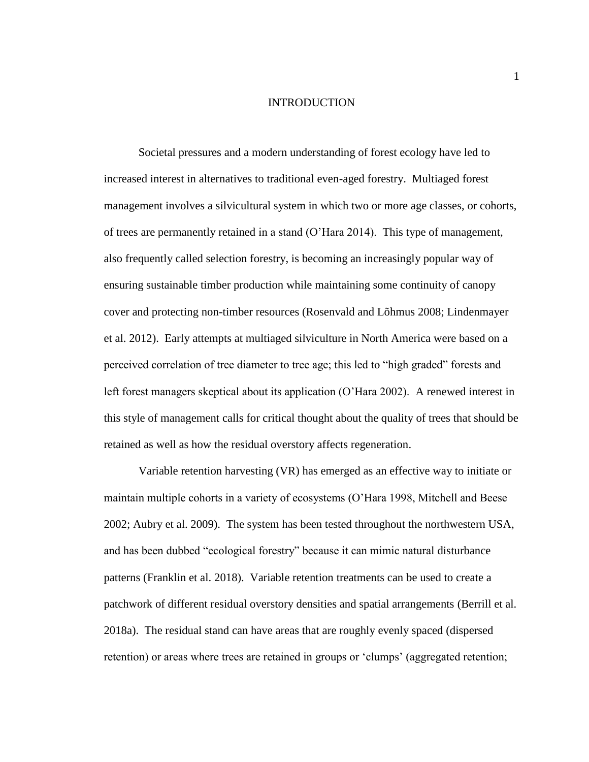#### INTRODUCTION

<span id="page-8-0"></span>Societal pressures and a modern understanding of forest ecology have led to increased interest in alternatives to traditional even-aged forestry. Multiaged forest management involves a silvicultural system in which two or more age classes, or cohorts, of trees are permanently retained in a stand (O'Hara 2014). This type of management, also frequently called selection forestry, is becoming an increasingly popular way of ensuring sustainable timber production while maintaining some continuity of canopy cover and protecting non-timber resources (Rosenvald and Lõhmus 2008; Lindenmayer et al. 2012). Early attempts at multiaged silviculture in North America were based on a perceived correlation of tree diameter to tree age; this led to "high graded" forests and left forest managers skeptical about its application (O'Hara 2002). A renewed interest in this style of management calls for critical thought about the quality of trees that should be retained as well as how the residual overstory affects regeneration.

Variable retention harvesting (VR) has emerged as an effective way to initiate or maintain multiple cohorts in a variety of ecosystems (O'Hara 1998, Mitchell and Beese 2002; Aubry et al. 2009). The system has been tested throughout the northwestern USA, and has been dubbed "ecological forestry" because it can mimic natural disturbance patterns (Franklin et al. 2018). Variable retention treatments can be used to create a patchwork of different residual overstory densities and spatial arrangements (Berrill et al. 2018a). The residual stand can have areas that are roughly evenly spaced (dispersed retention) or areas where trees are retained in groups or 'clumps' (aggregated retention;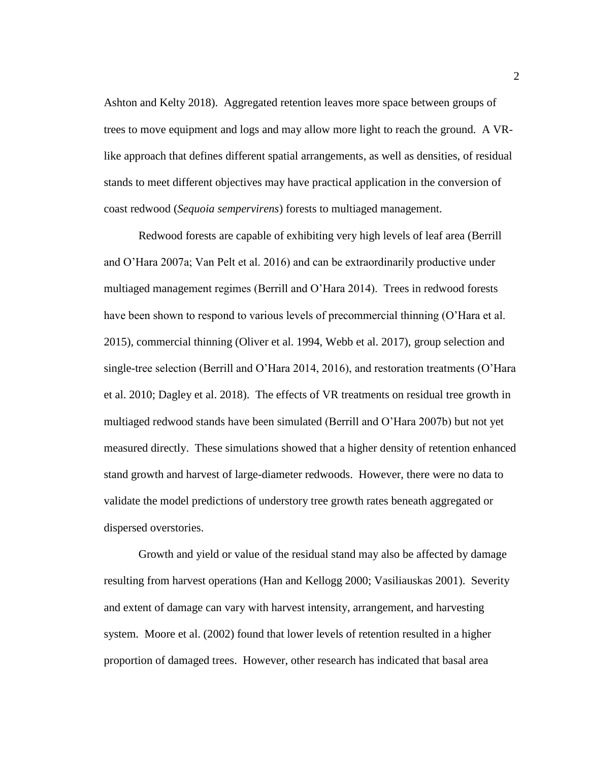Ashton and Kelty 2018). Aggregated retention leaves more space between groups of trees to move equipment and logs and may allow more light to reach the ground. A VRlike approach that defines different spatial arrangements, as well as densities, of residual stands to meet different objectives may have practical application in the conversion of coast redwood (*Sequoia sempervirens*) forests to multiaged management.

Redwood forests are capable of exhibiting very high levels of leaf area (Berrill and O'Hara 2007a; Van Pelt et al. 2016) and can be extraordinarily productive under multiaged management regimes (Berrill and O'Hara 2014). Trees in redwood forests have been shown to respond to various levels of precommercial thinning (O'Hara et al. 2015), commercial thinning (Oliver et al. 1994, Webb et al. 2017), group selection and single-tree selection (Berrill and O'Hara 2014, 2016), and restoration treatments (O'Hara et al. 2010; Dagley et al. 2018). The effects of VR treatments on residual tree growth in multiaged redwood stands have been simulated (Berrill and O'Hara 2007b) but not yet measured directly. These simulations showed that a higher density of retention enhanced stand growth and harvest of large-diameter redwoods. However, there were no data to validate the model predictions of understory tree growth rates beneath aggregated or dispersed overstories.

Growth and yield or value of the residual stand may also be affected by damage resulting from harvest operations (Han and Kellogg 2000; Vasiliauskas 2001). Severity and extent of damage can vary with harvest intensity, arrangement, and harvesting system. Moore et al. (2002) found that lower levels of retention resulted in a higher proportion of damaged trees. However, other research has indicated that basal area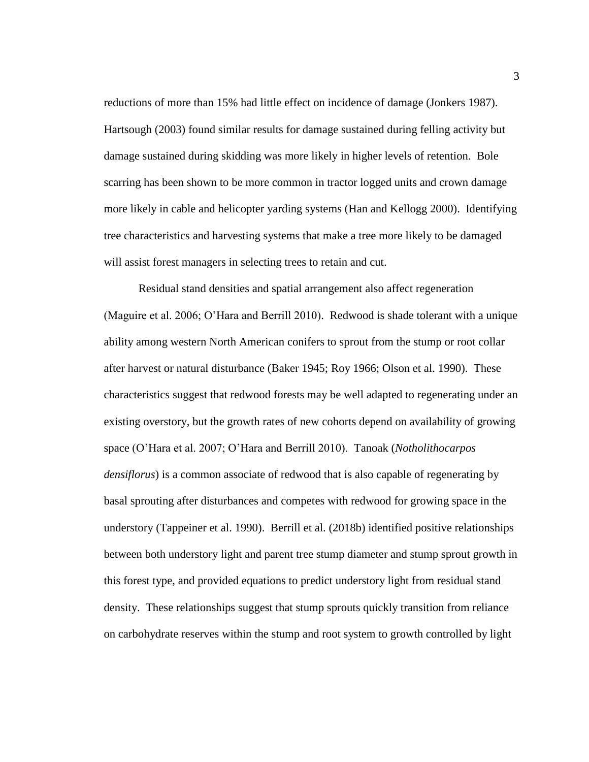reductions of more than 15% had little effect on incidence of damage (Jonkers 1987). Hartsough (2003) found similar results for damage sustained during felling activity but damage sustained during skidding was more likely in higher levels of retention. Bole scarring has been shown to be more common in tractor logged units and crown damage more likely in cable and helicopter yarding systems (Han and Kellogg 2000). Identifying tree characteristics and harvesting systems that make a tree more likely to be damaged will assist forest managers in selecting trees to retain and cut.

Residual stand densities and spatial arrangement also affect regeneration (Maguire et al. 2006; O'Hara and Berrill 2010). Redwood is shade tolerant with a unique ability among western North American conifers to sprout from the stump or root collar after harvest or natural disturbance (Baker 1945; Roy 1966; Olson et al. 1990). These characteristics suggest that redwood forests may be well adapted to regenerating under an existing overstory, but the growth rates of new cohorts depend on availability of growing space (O'Hara et al. 2007; O'Hara and Berrill 2010). Tanoak (*Notholithocarpos densiflorus*) is a common associate of redwood that is also capable of regenerating by basal sprouting after disturbances and competes with redwood for growing space in the understory (Tappeiner et al. 1990). Berrill et al. (2018b) identified positive relationships between both understory light and parent tree stump diameter and stump sprout growth in this forest type, and provided equations to predict understory light from residual stand density. These relationships suggest that stump sprouts quickly transition from reliance on carbohydrate reserves within the stump and root system to growth controlled by light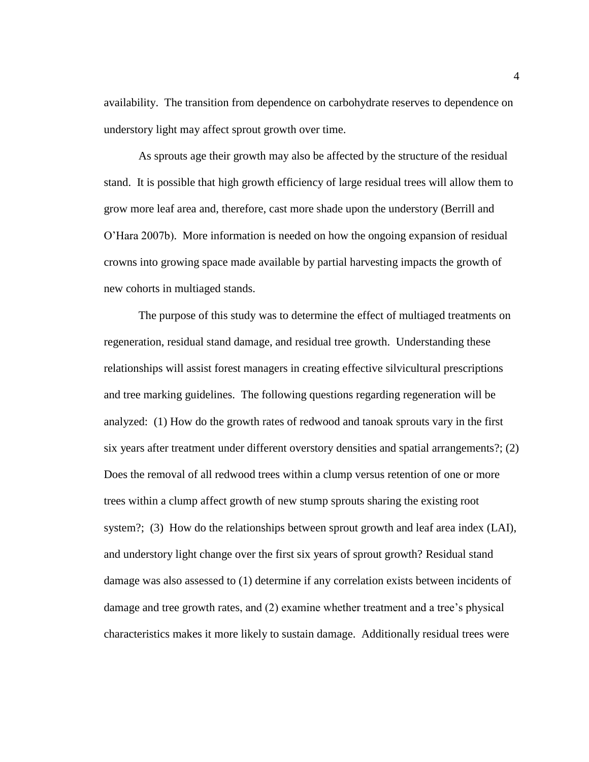availability. The transition from dependence on carbohydrate reserves to dependence on understory light may affect sprout growth over time.

As sprouts age their growth may also be affected by the structure of the residual stand. It is possible that high growth efficiency of large residual trees will allow them to grow more leaf area and, therefore, cast more shade upon the understory (Berrill and O'Hara 2007b). More information is needed on how the ongoing expansion of residual crowns into growing space made available by partial harvesting impacts the growth of new cohorts in multiaged stands.

The purpose of this study was to determine the effect of multiaged treatments on regeneration, residual stand damage, and residual tree growth. Understanding these relationships will assist forest managers in creating effective silvicultural prescriptions and tree marking guidelines. The following questions regarding regeneration will be analyzed: (1) How do the growth rates of redwood and tanoak sprouts vary in the first six years after treatment under different overstory densities and spatial arrangements?; (2) Does the removal of all redwood trees within a clump versus retention of one or more trees within a clump affect growth of new stump sprouts sharing the existing root system?; (3) How do the relationships between sprout growth and leaf area index (LAI), and understory light change over the first six years of sprout growth? Residual stand damage was also assessed to (1) determine if any correlation exists between incidents of damage and tree growth rates, and (2) examine whether treatment and a tree's physical characteristics makes it more likely to sustain damage. Additionally residual trees were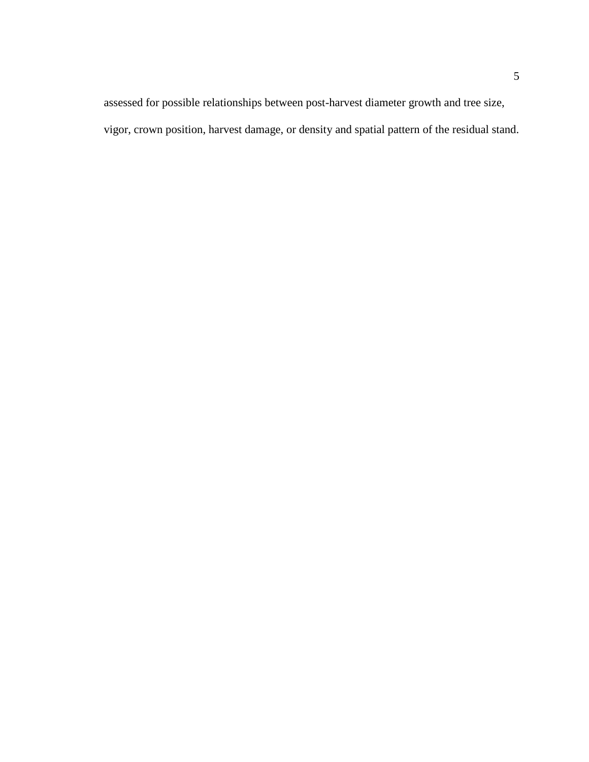assessed for possible relationships between post-harvest diameter growth and tree size, vigor, crown position, harvest damage, or density and spatial pattern of the residual stand.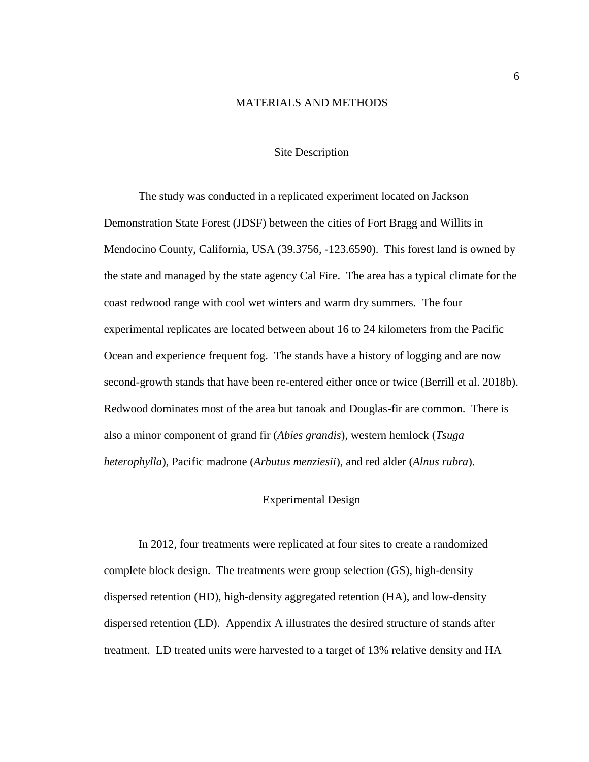## MATERIALS AND METHODS

#### Site Description

<span id="page-13-1"></span><span id="page-13-0"></span>The study was conducted in a replicated experiment located on Jackson Demonstration State Forest (JDSF) between the cities of Fort Bragg and Willits in Mendocino County, California, USA (39.3756, -123.6590). This forest land is owned by the state and managed by the state agency Cal Fire. The area has a typical climate for the coast redwood range with cool wet winters and warm dry summers. The four experimental replicates are located between about 16 to 24 kilometers from the Pacific Ocean and experience frequent fog. The stands have a history of logging and are now second-growth stands that have been re-entered either once or twice (Berrill et al. 2018b). Redwood dominates most of the area but tanoak and Douglas-fir are common. There is also a minor component of grand fir (*Abies grandis*), western hemlock (*Tsuga heterophylla*), Pacific madrone (*Arbutus menziesii*), and red alder (*Alnus rubra*).

#### Experimental Design

<span id="page-13-2"></span>In 2012, four treatments were replicated at four sites to create a randomized complete block design. The treatments were group selection (GS), high-density dispersed retention (HD), high-density aggregated retention (HA), and low-density dispersed retention (LD). Appendix A illustrates the desired structure of stands after treatment. LD treated units were harvested to a target of 13% relative density and HA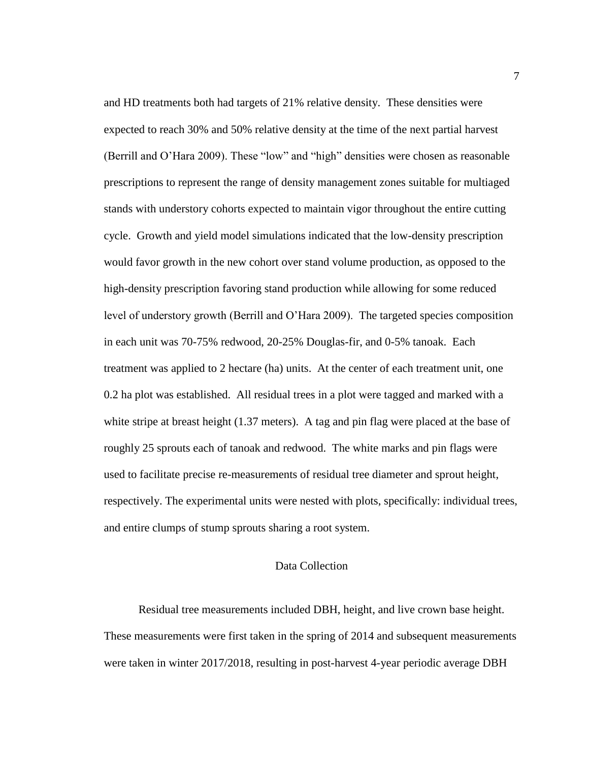and HD treatments both had targets of 21% relative density. These densities were expected to reach 30% and 50% relative density at the time of the next partial harvest (Berrill and O'Hara 2009). These "low" and "high" densities were chosen as reasonable prescriptions to represent the range of density management zones suitable for multiaged stands with understory cohorts expected to maintain vigor throughout the entire cutting cycle. Growth and yield model simulations indicated that the low-density prescription would favor growth in the new cohort over stand volume production, as opposed to the high-density prescription favoring stand production while allowing for some reduced level of understory growth (Berrill and O'Hara 2009). The targeted species composition in each unit was 70-75% redwood, 20-25% Douglas-fir, and 0-5% tanoak. Each treatment was applied to 2 hectare (ha) units. At the center of each treatment unit, one 0.2 ha plot was established. All residual trees in a plot were tagged and marked with a white stripe at breast height (1.37 meters). A tag and pin flag were placed at the base of roughly 25 sprouts each of tanoak and redwood. The white marks and pin flags were used to facilitate precise re-measurements of residual tree diameter and sprout height, respectively. The experimental units were nested with plots, specifically: individual trees, and entire clumps of stump sprouts sharing a root system.

#### Data Collection

<span id="page-14-0"></span>Residual tree measurements included DBH, height, and live crown base height. These measurements were first taken in the spring of 2014 and subsequent measurements were taken in winter 2017/2018, resulting in post-harvest 4-year periodic average DBH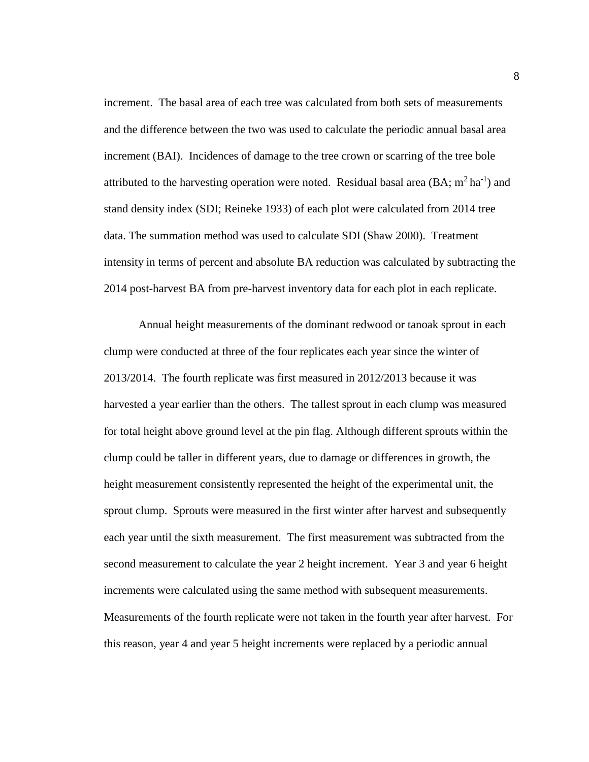increment. The basal area of each tree was calculated from both sets of measurements and the difference between the two was used to calculate the periodic annual basal area increment (BAI). Incidences of damage to the tree crown or scarring of the tree bole attributed to the harvesting operation were noted. Residual basal area  $(BA; m^2ha^{-1})$  and stand density index (SDI; Reineke 1933) of each plot were calculated from 2014 tree data. The summation method was used to calculate SDI (Shaw 2000). Treatment intensity in terms of percent and absolute BA reduction was calculated by subtracting the 2014 post-harvest BA from pre-harvest inventory data for each plot in each replicate.

Annual height measurements of the dominant redwood or tanoak sprout in each clump were conducted at three of the four replicates each year since the winter of 2013/2014. The fourth replicate was first measured in 2012/2013 because it was harvested a year earlier than the others. The tallest sprout in each clump was measured for total height above ground level at the pin flag. Although different sprouts within the clump could be taller in different years, due to damage or differences in growth, the height measurement consistently represented the height of the experimental unit, the sprout clump. Sprouts were measured in the first winter after harvest and subsequently each year until the sixth measurement. The first measurement was subtracted from the second measurement to calculate the year 2 height increment. Year 3 and year 6 height increments were calculated using the same method with subsequent measurements. Measurements of the fourth replicate were not taken in the fourth year after harvest. For this reason, year 4 and year 5 height increments were replaced by a periodic annual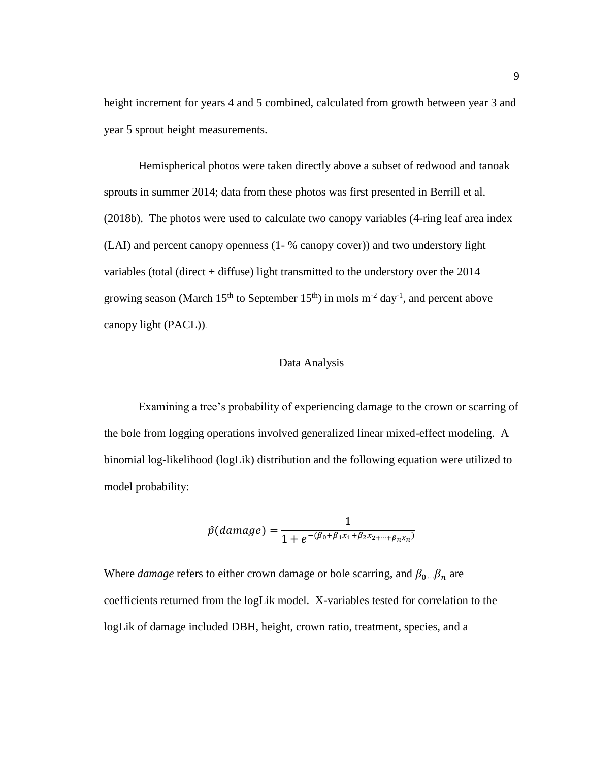height increment for years 4 and 5 combined, calculated from growth between year 3 and year 5 sprout height measurements.

Hemispherical photos were taken directly above a subset of redwood and tanoak sprouts in summer 2014; data from these photos was first presented in Berrill et al. (2018b). The photos were used to calculate two canopy variables (4-ring leaf area index (LAI) and percent canopy openness (1- % canopy cover)) and two understory light variables (total (direct + diffuse) light transmitted to the understory over the 2014 growing season (March  $15<sup>th</sup>$  to September  $15<sup>th</sup>$ ) in mols m<sup>-2</sup> day<sup>-1</sup>, and percent above canopy light (PACL)).

#### Data Analysis

<span id="page-16-0"></span>Examining a tree's probability of experiencing damage to the crown or scarring of the bole from logging operations involved generalized linear mixed-effect modeling. A binomial log-likelihood (logLik) distribution and the following equation were utilized to model probability:

$$
\hat{p}(damage) = \frac{1}{1 + e^{-(\beta_0 + \beta_1 x_1 + \beta_2 x_2 + \dots + \beta_n x_n)}}
$$

Where *damage* refers to either crown damage or bole scarring, and  $\beta_0...\beta_n$  are coefficients returned from the logLik model. X-variables tested for correlation to the logLik of damage included DBH, height, crown ratio, treatment, species, and a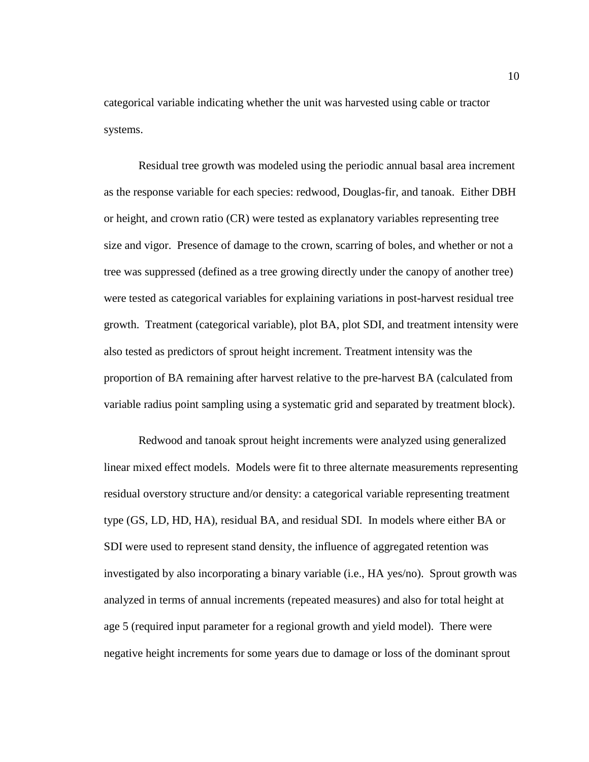categorical variable indicating whether the unit was harvested using cable or tractor systems.

Residual tree growth was modeled using the periodic annual basal area increment as the response variable for each species: redwood, Douglas-fir, and tanoak. Either DBH or height, and crown ratio (CR) were tested as explanatory variables representing tree size and vigor. Presence of damage to the crown, scarring of boles, and whether or not a tree was suppressed (defined as a tree growing directly under the canopy of another tree) were tested as categorical variables for explaining variations in post-harvest residual tree growth. Treatment (categorical variable), plot BA, plot SDI, and treatment intensity were also tested as predictors of sprout height increment. Treatment intensity was the proportion of BA remaining after harvest relative to the pre-harvest BA (calculated from variable radius point sampling using a systematic grid and separated by treatment block).

Redwood and tanoak sprout height increments were analyzed using generalized linear mixed effect models. Models were fit to three alternate measurements representing residual overstory structure and/or density: a categorical variable representing treatment type (GS, LD, HD, HA), residual BA, and residual SDI. In models where either BA or SDI were used to represent stand density, the influence of aggregated retention was investigated by also incorporating a binary variable (i.e., HA yes/no). Sprout growth was analyzed in terms of annual increments (repeated measures) and also for total height at age 5 (required input parameter for a regional growth and yield model). There were negative height increments for some years due to damage or loss of the dominant sprout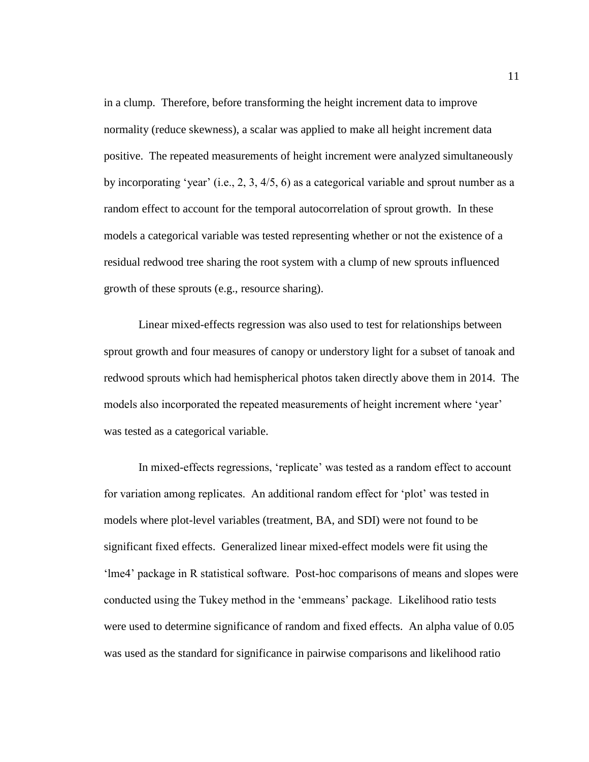in a clump. Therefore, before transforming the height increment data to improve normality (reduce skewness), a scalar was applied to make all height increment data positive. The repeated measurements of height increment were analyzed simultaneously by incorporating 'year' (i.e., 2, 3, 4/5, 6) as a categorical variable and sprout number as a random effect to account for the temporal autocorrelation of sprout growth. In these models a categorical variable was tested representing whether or not the existence of a residual redwood tree sharing the root system with a clump of new sprouts influenced growth of these sprouts (e.g., resource sharing).

Linear mixed-effects regression was also used to test for relationships between sprout growth and four measures of canopy or understory light for a subset of tanoak and redwood sprouts which had hemispherical photos taken directly above them in 2014. The models also incorporated the repeated measurements of height increment where 'year' was tested as a categorical variable.

In mixed-effects regressions, 'replicate' was tested as a random effect to account for variation among replicates. An additional random effect for 'plot' was tested in models where plot-level variables (treatment, BA, and SDI) were not found to be significant fixed effects. Generalized linear mixed-effect models were fit using the 'lme4' package in R statistical software. Post-hoc comparisons of means and slopes were conducted using the Tukey method in the 'emmeans' package. Likelihood ratio tests were used to determine significance of random and fixed effects. An alpha value of 0.05 was used as the standard for significance in pairwise comparisons and likelihood ratio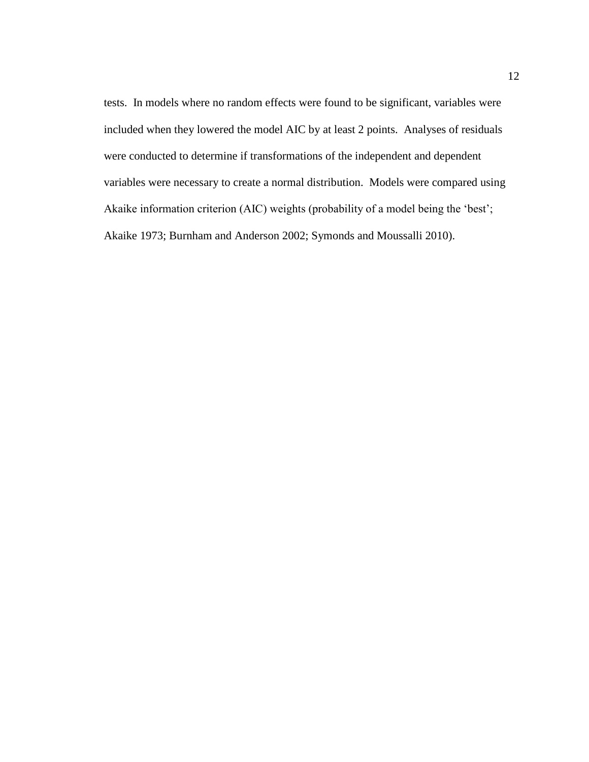tests. In models where no random effects were found to be significant, variables were included when they lowered the model AIC by at least 2 points. Analyses of residuals were conducted to determine if transformations of the independent and dependent variables were necessary to create a normal distribution. Models were compared using Akaike information criterion (AIC) weights (probability of a model being the 'best'; Akaike 1973; Burnham and Anderson 2002; Symonds and Moussalli 2010).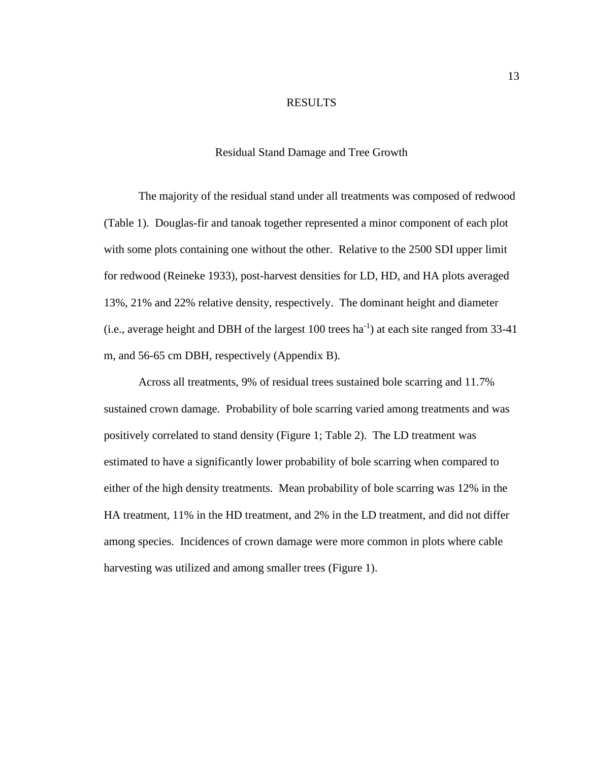#### RESULTS

#### Residual Stand Damage and Tree Growth

<span id="page-20-1"></span><span id="page-20-0"></span>The majority of the residual stand under all treatments was composed of redwood (Table 1). Douglas-fir and tanoak together represented a minor component of each plot with some plots containing one without the other. Relative to the 2500 SDI upper limit for redwood (Reineke 1933), post-harvest densities for LD, HD, and HA plots averaged 13%, 21% and 22% relative density, respectively. The dominant height and diameter  $(i.e., average height and DBH of the largest 100 trees ha<sup>-1</sup>) at each site ranged from 33-41$ m, and 56-65 cm DBH, respectively (Appendix B).

Across all treatments, 9% of residual trees sustained bole scarring and 11.7% sustained crown damage. Probability of bole scarring varied among treatments and was positively correlated to stand density (Figure 1; Table 2). The LD treatment was estimated to have a significantly lower probability of bole scarring when compared to either of the high density treatments. Mean probability of bole scarring was 12% in the HA treatment, 11% in the HD treatment, and 2% in the LD treatment, and did not differ among species. Incidences of crown damage were more common in plots where cable harvesting was utilized and among smaller trees (Figure 1).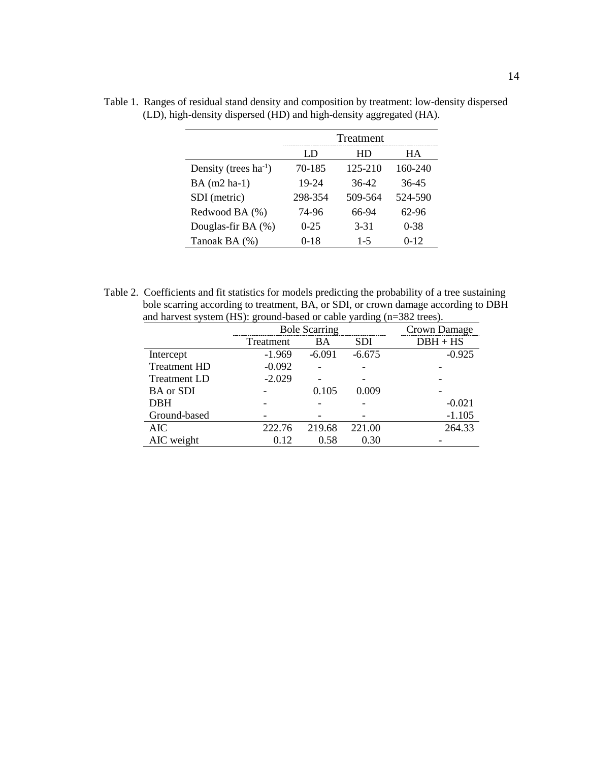|                            |          | Treatment |          |
|----------------------------|----------|-----------|----------|
|                            | LD       | HD        | HА       |
| Density (trees $ha^{-1}$ ) | 70-185   | 125-210   | 160-240  |
| $BA$ (m2 ha-1)             | 19-24    | 36-42     | 36-45    |
| SDI (metric)               | 298-354  | 509-564   | 524-590  |
| Redwood BA (%)             | 74-96    | 66-94     | 62-96    |
| Douglas-fir BA (%)         | $0 - 25$ | $3 - 31$  | $0 - 38$ |
| Tanoak BA (%)              | $0-18$   | $1-5$     | $0 - 12$ |

<span id="page-21-0"></span>Table 1. Ranges of residual stand density and composition by treatment: low-density dispersed (LD), high-density dispersed (HD) and high-density aggregated (HA).

<span id="page-21-1"></span>Table 2. Coefficients and fit statistics for models predicting the probability of a tree sustaining bole scarring according to treatment, BA, or SDI, or crown damage according to DBH and harvest system (HS): ground-based or cable yarding (n=382 trees). L,

|                     |           | <b>Bole Scarring</b> |            | Crown Damage |
|---------------------|-----------|----------------------|------------|--------------|
|                     | Treatment | <b>BA</b>            | <b>SDI</b> | $DBH + HS$   |
| Intercept           | $-1.969$  | $-6.091$             | $-6.675$   | $-0.925$     |
| <b>Treatment HD</b> | $-0.092$  |                      |            |              |
| <b>Treatment LD</b> | $-2.029$  |                      |            |              |
| <b>BA</b> or SDI    |           | 0.105                | 0.009      |              |
| <b>DBH</b>          |           |                      |            | $-0.021$     |
| Ground-based        |           |                      |            | $-1.105$     |
| <b>AIC</b>          | 222.76    | 219.68               | 221.00     | 264.33       |
| AIC weight          | 0.12      | 0.58                 | 0.30       |              |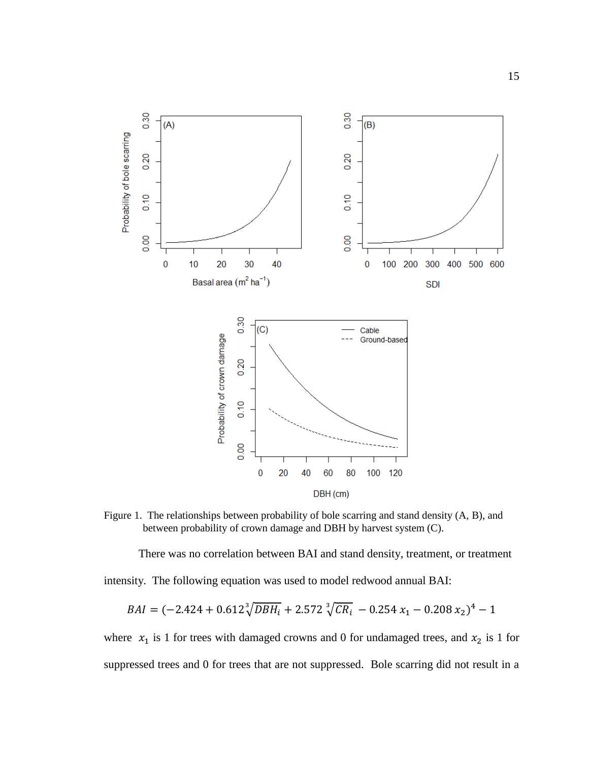

<span id="page-22-0"></span>Figure 1. The relationships between probability of bole scarring and stand density (A, B), and between probability of crown damage and DBH by harvest system (C).

There was no correlation between BAI and stand density, treatment, or treatment

intensity. The following equation was used to model redwood annual BAI:

$$
BAI = (-2.424 + 0.612 \sqrt[3]{DBH_i} + 2.572 \sqrt[3]{CR_i} - 0.254 x_1 - 0.208 x_2)^4 - 1
$$

where  $x_1$  is 1 for trees with damaged crowns and 0 for undamaged trees, and  $x_2$  is 1 for suppressed trees and 0 for trees that are not suppressed. Bole scarring did not result in a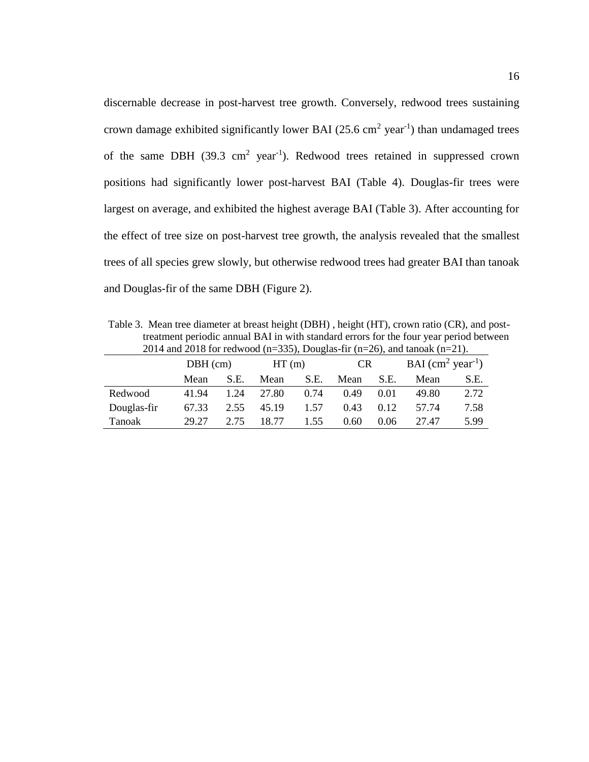discernable decrease in post-harvest tree growth. Conversely, redwood trees sustaining crown damage exhibited significantly lower BAI  $(25.6 \text{ cm}^2 \text{ year}^{-1})$  than undamaged trees of the same DBH  $(39.3 \text{ cm}^2 \text{ year}^{-1})$ . Redwood trees retained in suppressed crown positions had significantly lower post-harvest BAI (Table 4). Douglas-fir trees were largest on average, and exhibited the highest average BAI (Table 3). After accounting for the effect of tree size on post-harvest tree growth, the analysis revealed that the smallest trees of all species grew slowly, but otherwise redwood trees had greater BAI than tanoak and Douglas-fir of the same DBH (Figure 2).

<span id="page-23-0"></span>Table 3. Mean tree diameter at breast height (DBH) , height (HT), crown ratio (CR), and posttreatment periodic annual BAI in with standard errors for the four year period between 2014 and 2018 for redwood (n=335), Douglas-fir (n=26), and tanoak (n=21).

|             | $DBH$ (cm) |      | HT(m) |      | CR.  |      | $BAI$ (cm <sup>2</sup> year <sup>-1</sup> ) |      |  |
|-------------|------------|------|-------|------|------|------|---------------------------------------------|------|--|
|             | Mean       | S.E. | Mean  | S.E. | Mean | S.E. | Mean                                        | S.E. |  |
| Redwood     | 41.94      | 1.24 | 27.80 | 0.74 | 0.49 | 0.01 | 49.80                                       | 2.72 |  |
| Douglas-fir | 67.33      | 2.55 | 45.19 | 1.57 | 0.43 | 0.12 | 57.74                                       | 7.58 |  |
| Tanoak      | 29.27      | 2.75 | 18.77 | 1.55 | 0.60 | 0.06 | 27.47                                       | 5.99 |  |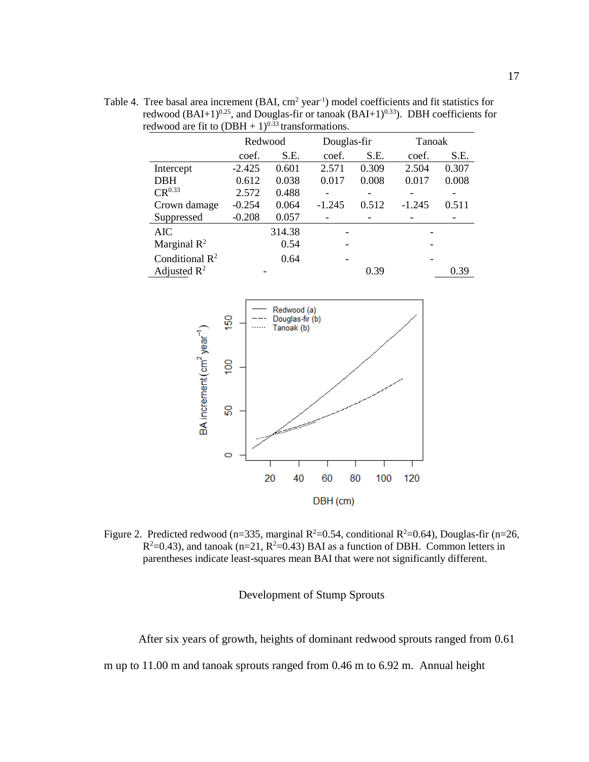redwood are fit to  $(DBH + 1)^{0.33}$  transformations. Redwood Douglas-fir Tanoak coef. S.E. coef. S.E. coef. S.E. Intercept -2.425 0.601 2.571 0.309 2.504 0.307 DBH 0.612 0.038 0.017 0.008 0.017 0.008  $CR^{0.33}$  2.572 0.488 - - - - -Crown damage -0.254 0.064 -1.245 0.512 -1.245 0.511

Suppressed -0.208 0.057 - - - - - -AIC 314.38 - -

- 0.39 0.39

Marginal  $R^2$  0.54 Conditional  $R^2$  0.64

Adjusted  $R^2$ 

<span id="page-24-1"></span>Table 4. Tree basal area increment (BAI,  $cm<sup>2</sup> year<sup>-1</sup>$ ) model coefficients and fit statistics for redwood (BAI+1)<sup>0.25</sup>, and Douglas-fir or tanoak (BAI+1)<sup>0.33</sup>). DBH coefficients for



<span id="page-24-2"></span><span id="page-24-0"></span>Figure 2. Predicted redwood (n=335, marginal  $R^2=0.54$ , conditional  $R^2=0.64$ ), Douglas-fir (n=26,  $R^2=0.43$ ), and tanoak (n=21,  $R^2=0.43$ ) BAI as a function of DBH. Common letters in parentheses indicate least-squares mean BAI that were not significantly different.

Development of Stump Sprouts

After six years of growth, heights of dominant redwood sprouts ranged from 0.61

m up to 11.00 m and tanoak sprouts ranged from 0.46 m to 6.92 m. Annual height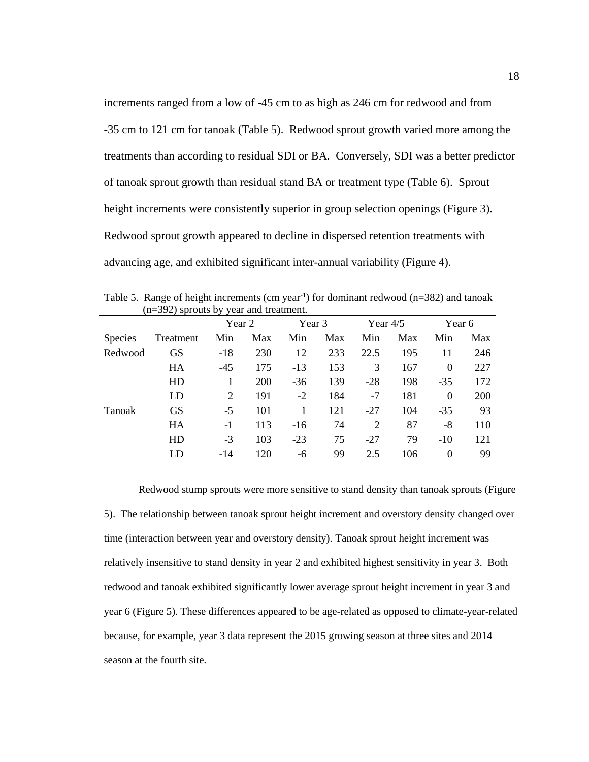increments ranged from a low of -45 cm to as high as 246 cm for redwood and from -35 cm to 121 cm for tanoak (Table 5). Redwood sprout growth varied more among the treatments than according to residual SDI or BA. Conversely, SDI was a better predictor of tanoak sprout growth than residual stand BA or treatment type (Table 6). Sprout height increments were consistently superior in group selection openings (Figure 3). Redwood sprout growth appeared to decline in dispersed retention treatments with advancing age, and exhibited significant inter-annual variability (Figure 4).

|                | $(n=392)$ sprouts by year and treatment. |                |     |        |     |            |     |                  |     |
|----------------|------------------------------------------|----------------|-----|--------|-----|------------|-----|------------------|-----|
|                |                                          | Year 2         |     | Year 3 |     | Year $4/5$ |     | Year 6           |     |
| <b>Species</b> | Treatment                                | Min            | Max | Min    | Max | Min        | Max | Min              | Max |
| Redwood        | <b>GS</b>                                | $-18$          | 230 | 12     | 233 | 22.5       | 195 | 11               | 246 |
|                | HA                                       | $-45$          | 175 | $-13$  | 153 | 3          | 167 | $\boldsymbol{0}$ | 227 |
|                | HD                                       |                | 200 | $-36$  | 139 | $-28$      | 198 | $-35$            | 172 |
|                | LD                                       | $\overline{2}$ | 191 | $-2$   | 184 | $-7$       | 181 | $\Omega$         | 200 |
| Tanoak         | <b>GS</b>                                | $-5$           | 101 |        | 121 | $-27$      | 104 | $-35$            | 93  |
|                | HA                                       | $-1$           | 113 | $-16$  | 74  | 2          | 87  | $-8$             | 110 |
|                | HD                                       | $-3$           | 103 | $-23$  | 75  | $-27$      | 79  | $-10$            | 121 |
|                | LD                                       | -14            | 120 | -6     | 99  | 2.5        | 106 | $\Omega$         | 99  |

<span id="page-25-0"></span>Table 5. Range of height increments (cm year<sup>-1</sup>) for dominant redwood ( $n=382$ ) and tanoak  $(n-302)$  sprouts by year and treatment.

Redwood stump sprouts were more sensitive to stand density than tanoak sprouts (Figure 5). The relationship between tanoak sprout height increment and overstory density changed over time (interaction between year and overstory density). Tanoak sprout height increment was relatively insensitive to stand density in year 2 and exhibited highest sensitivity in year 3. Both redwood and tanoak exhibited significantly lower average sprout height increment in year 3 and year 6 (Figure 5). These differences appeared to be age-related as opposed to climate-year-related because, for example, year 3 data represent the 2015 growing season at three sites and 2014 season at the fourth site.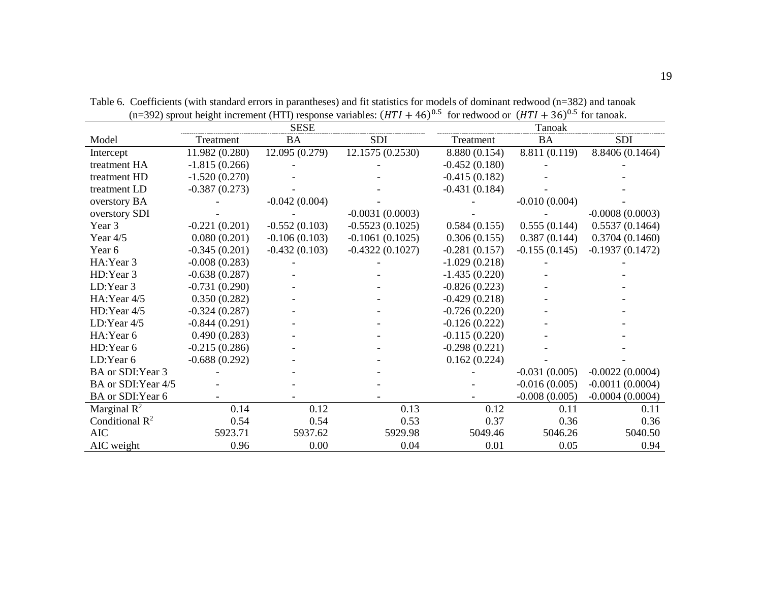<span id="page-26-0"></span>

|                            |                 |                 | $(11-322)$ sprout neight increment (1111) response variables. (1111 $\pm$ 40) | $101$ IGUWOUU UL (IIII $\pm$ JU |                 | TOI tailuan.      |
|----------------------------|-----------------|-----------------|-------------------------------------------------------------------------------|---------------------------------|-----------------|-------------------|
|                            |                 | <b>SESE</b>     |                                                                               |                                 | Tanoak          |                   |
| Model                      | Treatment       | <b>BA</b>       | <b>SDI</b>                                                                    | Treatment                       | <b>BA</b>       | <b>SDI</b>        |
| Intercept                  | 11.982 (0.280)  | 12.095 (0.279)  | 12.1575 (0.2530)                                                              | 8.880 (0.154)                   | 8.811 (0.119)   | 8.8406 (0.1464)   |
| treatment HA               | $-1.815(0.266)$ |                 |                                                                               | $-0.452(0.180)$                 |                 |                   |
| treatment HD               | $-1.520(0.270)$ |                 |                                                                               | $-0.415(0.182)$                 |                 |                   |
| treatment LD               | $-0.387(0.273)$ |                 |                                                                               | $-0.431(0.184)$                 |                 |                   |
| overstory BA               |                 | $-0.042(0.004)$ |                                                                               |                                 | $-0.010(0.004)$ |                   |
| overstory SDI              |                 |                 | $-0.0031(0.0003)$                                                             |                                 |                 | $-0.0008(0.0003)$ |
| Year 3                     | $-0.221(0.201)$ | $-0.552(0.103)$ | $-0.5523(0.1025)$                                                             | 0.584(0.155)                    | 0.555(0.144)    | 0.5537(0.1464)    |
| Year $4/5$                 | 0.080(0.201)    | $-0.106(0.103)$ | $-0.1061(0.1025)$                                                             | 0.306(0.155)                    | 0.387(0.144)    | 0.3704(0.1460)    |
| Year 6                     | $-0.345(0.201)$ | $-0.432(0.103)$ | $-0.4322(0.1027)$                                                             | $-0.281(0.157)$                 | $-0.155(0.145)$ | $-0.1937(0.1472)$ |
| HA: Year 3                 | $-0.008(0.283)$ |                 |                                                                               | $-1.029(0.218)$                 |                 |                   |
| HD: Year 3                 | $-0.638(0.287)$ |                 |                                                                               | $-1.435(0.220)$                 |                 |                   |
| LD:Year 3                  | $-0.731(0.290)$ |                 |                                                                               | $-0.826(0.223)$                 |                 |                   |
| HA: Year 4/5               | 0.350(0.282)    |                 |                                                                               | $-0.429(0.218)$                 |                 |                   |
| HD: Year 4/5               | $-0.324(0.287)$ |                 |                                                                               | $-0.726(0.220)$                 |                 |                   |
| LD:Year 4/5                | $-0.844(0.291)$ |                 |                                                                               | $-0.126(0.222)$                 |                 |                   |
| HA: Year 6                 | 0.490(0.283)    |                 |                                                                               | $-0.115(0.220)$                 |                 |                   |
| HD:Year 6                  | $-0.215(0.286)$ |                 |                                                                               | $-0.298(0.221)$                 |                 |                   |
| LD:Year 6                  | $-0.688(0.292)$ |                 |                                                                               | 0.162(0.224)                    |                 |                   |
| BA or SDI: Year 3          |                 |                 |                                                                               |                                 | $-0.031(0.005)$ | $-0.0022(0.0004)$ |
| BA or SDI:Year 4/5         |                 |                 |                                                                               |                                 | $-0.016(0.005)$ | $-0.0011(0.0004)$ |
| BA or SDI:Year 6           |                 |                 |                                                                               |                                 | $-0.008(0.005)$ | $-0.0004(0.0004)$ |
| Marginal $R^2$             | 0.14            | 0.12            | 0.13                                                                          | 0.12                            | 0.11            | 0.11              |
| Conditional $\mathbb{R}^2$ | 0.54            | 0.54            | 0.53                                                                          | 0.37                            | 0.36            | 0.36              |
| <b>AIC</b>                 | 5923.71         | 5937.62         | 5929.98                                                                       | 5049.46                         | 5046.26         | 5040.50           |
| AIC weight                 | 0.96            | 0.00            | 0.04                                                                          | 0.01                            | 0.05            | 0.94              |

Table 6. Coefficients (with standard errors in parantheses) and fit statistics for models of dominant redwood (n=382) and tanoak (n=392) sprout height increment (HTI) response variables:  $(HTI + 46)^{0.5}$  for redwood or  $(HTI + 36)^{0.5}$  for tanoak.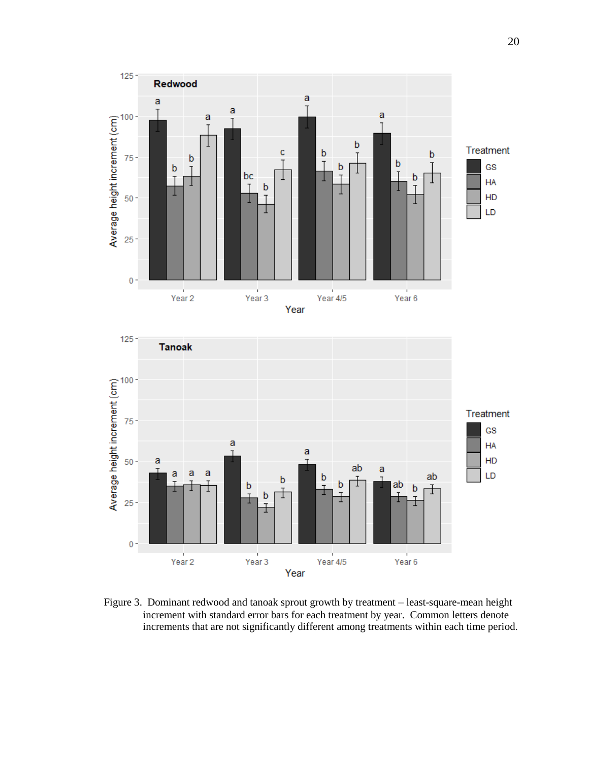

<span id="page-27-0"></span>Figure 3. Dominant redwood and tanoak sprout growth by treatment – least-square-mean height increment with standard error bars for each treatment by year. Common letters denote increments that are not significantly different among treatments within each time period.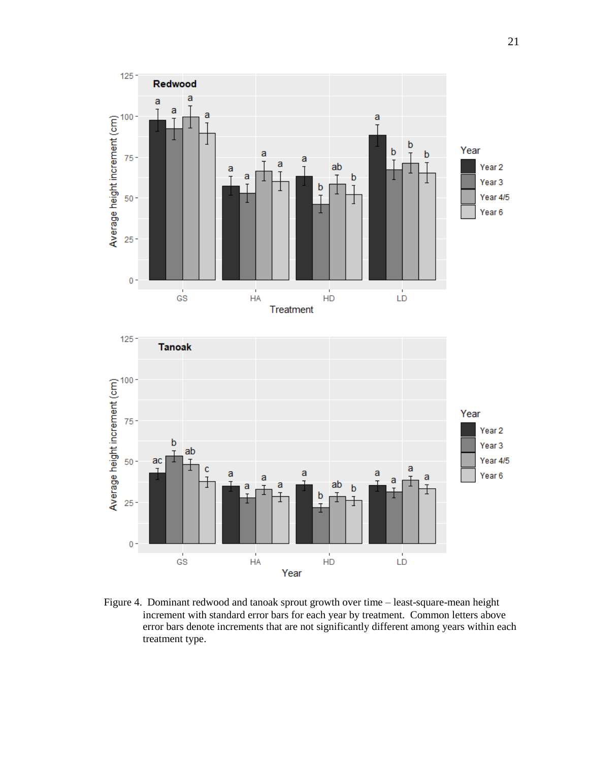

<span id="page-28-0"></span>Figure 4. Dominant redwood and tanoak sprout growth over time – least-square-mean height increment with standard error bars for each year by treatment. Common letters above error bars denote increments that are not significantly different among years within each treatment type.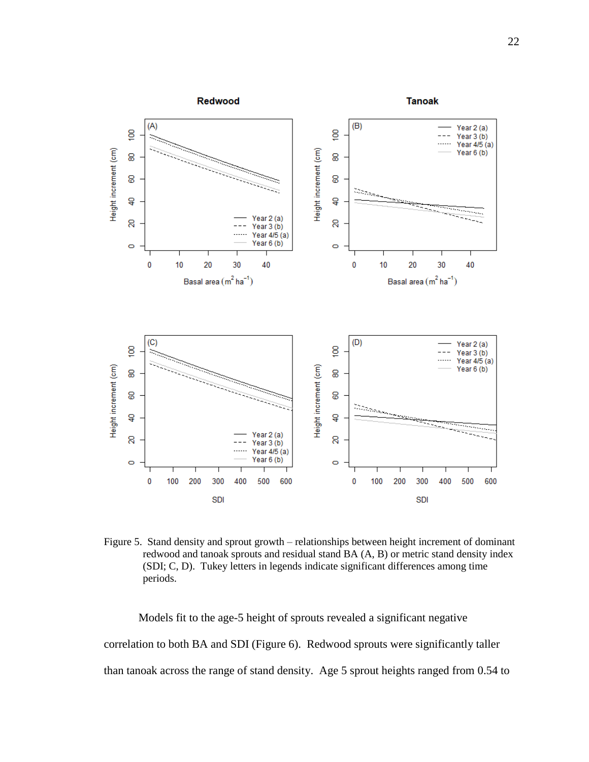

<span id="page-29-0"></span>Figure 5. Stand density and sprout growth – relationships between height increment of dominant redwood and tanoak sprouts and residual stand BA (A, B) or metric stand density index (SDI; C, D). Tukey letters in legends indicate significant differences among time periods.

Models fit to the age-5 height of sprouts revealed a significant negative correlation to both BA and SDI (Figure 6). Redwood sprouts were significantly taller than tanoak across the range of stand density. Age 5 sprout heights ranged from 0.54 to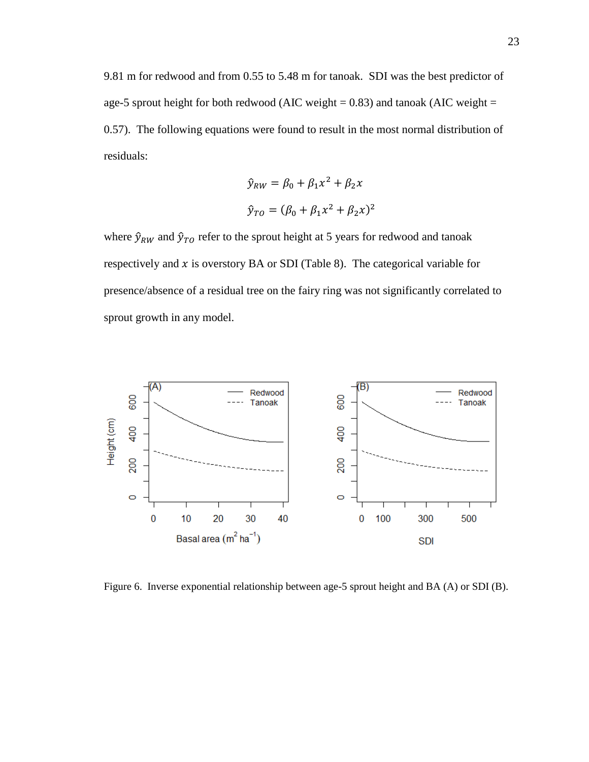9.81 m for redwood and from 0.55 to 5.48 m for tanoak. SDI was the best predictor of age-5 sprout height for both redwood (AIC weight  $= 0.83$ ) and tanoak (AIC weight  $=$ 0.57). The following equations were found to result in the most normal distribution of residuals:

$$
\hat{y}_{RW} = \beta_0 + \beta_1 x^2 + \beta_2 x
$$

$$
\hat{y}_{TO} = (\beta_0 + \beta_1 x^2 + \beta_2 x)^2
$$

where  $\hat{y}_{RW}$  and  $\hat{y}_{TO}$  refer to the sprout height at 5 years for redwood and tanoak respectively and  $x$  is overstory BA or SDI (Table 8). The categorical variable for presence/absence of a residual tree on the fairy ring was not significantly correlated to sprout growth in any model.



<span id="page-30-0"></span>Figure 6. Inverse exponential relationship between age-5 sprout height and BA (A) or SDI (B).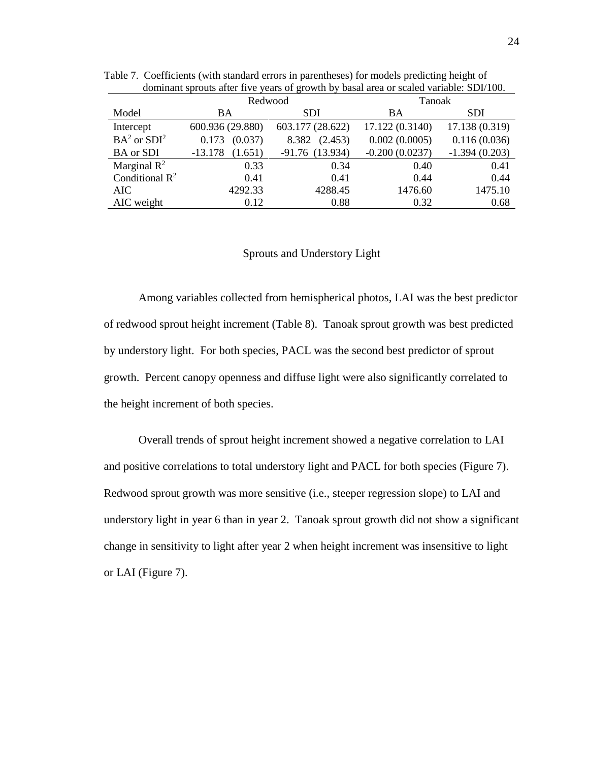|                         | Redwood              | Tanoak           |                 |                 |
|-------------------------|----------------------|------------------|-----------------|-----------------|
|                         |                      |                  |                 |                 |
| Model                   | BA                   | <b>SDI</b>       | <b>BA</b>       | <b>SDI</b>      |
| Intercept               | 600.936 (29.880)     | 603.177 (28.622) | 17.122 (0.3140) | 17.138 (0.319)  |
| $BA2$ or $SDI2$         | (0.037)<br>0.173     | (2.453)<br>8.382 | 0.002(0.0005)   | 0.116(0.036)    |
| <b>BA</b> or SDI        | $-13.178$<br>(1.651) | $-91.76(13.934)$ |                 | $-1.394(0.203)$ |
| Marginal $\mathbb{R}^2$ | 0.33                 | 0.34             | 0.40            | 0.41            |
| Conditional $R^2$       | 0.41                 | 0.41             | 0.44            | 0.44            |
| AIC                     | 4292.33              | 4288.45          | 1476.60         | 1475.10         |
| AIC weight              | 0.12                 | 0.88             | 0.32            | 0.68            |

<span id="page-31-1"></span>Table 7. Coefficients (with standard errors in parentheses) for models predicting height of dominant sprouts after five years of growth by basal area or scaled variable: SDI/100.

## Sprouts and Understory Light

<span id="page-31-0"></span>Among variables collected from hemispherical photos, LAI was the best predictor of redwood sprout height increment (Table 8). Tanoak sprout growth was best predicted by understory light. For both species, PACL was the second best predictor of sprout growth. Percent canopy openness and diffuse light were also significantly correlated to the height increment of both species.

Overall trends of sprout height increment showed a negative correlation to LAI and positive correlations to total understory light and PACL for both species (Figure 7). Redwood sprout growth was more sensitive (i.e., steeper regression slope) to LAI and understory light in year 6 than in year 2. Tanoak sprout growth did not show a significant change in sensitivity to light after year 2 when height increment was insensitive to light or LAI (Figure 7).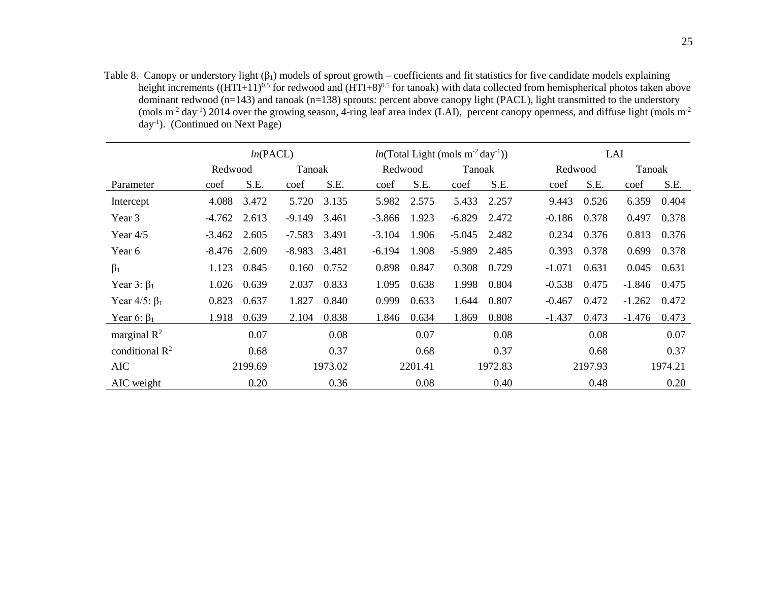Table 8. Canopy or understory light  $(\beta_1)$  models of sprout growth – coefficients and fit statistics for five candidate models explaining height increments  $((HTI+11)^{0.5}$  for redwood and  $(HTI+8)^{0.5}$  for tanoak) with data collected from hemispherical photos taken above dominant redwood  $(n=143)$  and tanoak  $(n=138)$  sprouts: percent above canopy light (PACL), light transmitted to the understory (mols  $m<sup>2</sup>$  day<sup>-1</sup>) 2014 over the growing season, 4-ring leaf area index (LAI), percent canopy openness, and diffuse light (mols  $m<sup>2</sup>$ day-1 ). (Continued on Next Page)

<span id="page-32-0"></span>

|                            | ln(PACL) |         |          |         | $ln(Total Light (mols m-2 day-1))$ |         |          |         | LAI      |         |          |         |  |
|----------------------------|----------|---------|----------|---------|------------------------------------|---------|----------|---------|----------|---------|----------|---------|--|
|                            | Redwood  |         | Tanoak   |         |                                    | Redwood |          | Tanoak  |          | Redwood |          | Tanoak  |  |
| Parameter                  | coef     | S.E.    | coef     | S.E.    | coef                               | S.E.    | coef     | S.E.    | coef     | S.E.    | coef     | S.E.    |  |
| Intercept                  | 4.088    | 3.472   | 5.720    | 3.135   | 5.982                              | 2.575   | 5.433    | 2.257   | 9.443    | 0.526   | 6.359    | 0.404   |  |
| Year 3                     | $-4.762$ | 2.613   | $-9.149$ | 3.461   | $-3.866$                           | 1.923   | $-6.829$ | 2.472   | $-0.186$ | 0.378   | 0.497    | 0.378   |  |
| Year $4/5$                 | $-3.462$ | 2.605   | $-7.583$ | 3.491   | $-3.104$                           | 1.906   | $-5.045$ | 2.482   | 0.234    | 0.376   | 0.813    | 0.376   |  |
| Year 6                     | $-8.476$ | 2.609   | $-8.983$ | 3.481   | $-6.194$                           | 1.908   | $-5.989$ | 2.485   | 0.393    | 0.378   | 0.699    | 0.378   |  |
| $\beta_1$                  | 1.123    | 0.845   | 0.160    | 0.752   | 0.898                              | 0.847   | 0.308    | 0.729   | $-1.071$ | 0.631   | 0.045    | 0.631   |  |
| Year 3: $\beta_1$          | 1.026    | 0.639   | 2.037    | 0.833   | 1.095                              | 0.638   | 1.998    | 0.804   | $-0.538$ | 0.475   | $-1.846$ | 0.475   |  |
| Year $4/5$ : $\beta_1$     | 0.823    | 0.637   | 1.827    | 0.840   | 0.999                              | 0.633   | 1.644    | 0.807   | $-0.467$ | 0.472   | $-1.262$ | 0.472   |  |
| Year 6: $\beta_1$          | 1.918    | 0.639   | 2.104    | 0.838   | 1.846                              | 0.634   | 1.869    | 0.808   | $-1.437$ | 0.473   | $-1.476$ | 0.473   |  |
| marginal $\mathbb{R}^2$    |          | 0.07    |          | 0.08    |                                    | 0.07    |          | 0.08    |          | 0.08    |          | 0.07    |  |
| conditional $\mathbb{R}^2$ |          | 0.68    |          | 0.37    |                                    | 0.68    |          | 0.37    |          | 0.68    |          | 0.37    |  |
| <b>AIC</b>                 |          | 2199.69 |          | 1973.02 |                                    | 2201.41 |          | 1972.83 |          | 2197.93 |          | 1974.21 |  |
| AIC weight                 |          | 0.20    |          | 0.36    |                                    | 0.08    |          | 0.40    |          | 0.48    |          | 0.20    |  |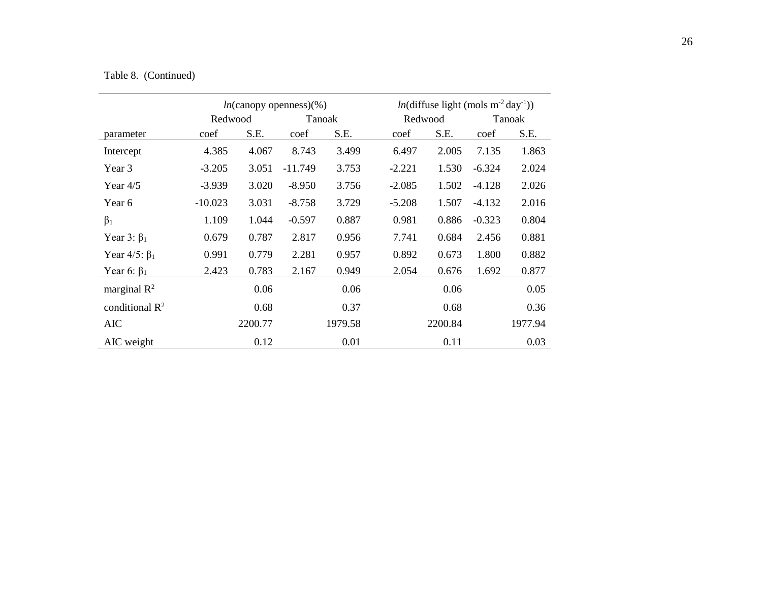# Table 8. (Continued)

|                        |           |         | $ln$ (canopy openness)(%) |         |          | $ln(\text{diffuse light (mols m}^{-2} \text{day}^{-1}))$ |          |         |  |  |
|------------------------|-----------|---------|---------------------------|---------|----------|----------------------------------------------------------|----------|---------|--|--|
|                        | Redwood   |         | Tanoak                    |         | Redwood  |                                                          | Tanoak   |         |  |  |
| parameter              | coef      | S.E.    | coef                      | S.E.    | coef     | S.E.                                                     | coef     | S.E.    |  |  |
| Intercept              | 4.385     | 4.067   | 8.743                     | 3.499   | 6.497    | 2.005                                                    | 7.135    | 1.863   |  |  |
| Year 3                 | $-3.205$  | 3.051   | $-11.749$                 | 3.753   | $-2.221$ | 1.530                                                    | $-6.324$ | 2.024   |  |  |
| Year $4/5$             | $-3.939$  | 3.020   | $-8.950$                  | 3.756   | $-2.085$ | 1.502                                                    | $-4.128$ | 2.026   |  |  |
| Year 6                 | $-10.023$ | 3.031   | $-8.758$                  | 3.729   | $-5.208$ | 1.507                                                    | $-4.132$ | 2.016   |  |  |
| $\beta_1$              | 1.109     | 1.044   | $-0.597$                  | 0.887   | 0.981    | 0.886                                                    | $-0.323$ | 0.804   |  |  |
| Year 3: $\beta_1$      | 0.679     | 0.787   | 2.817                     | 0.956   | 7.741    | 0.684                                                    | 2.456    | 0.881   |  |  |
| Year $4/5$ : $\beta_1$ | 0.991     | 0.779   | 2.281                     | 0.957   | 0.892    | 0.673                                                    | 1.800    | 0.882   |  |  |
| Year 6: $\beta_1$      | 2.423     | 0.783   | 2.167                     | 0.949   | 2.054    | 0.676                                                    | 1.692    | 0.877   |  |  |
| marginal $R^2$         |           | 0.06    |                           | 0.06    |          | 0.06                                                     |          | 0.05    |  |  |
| conditional $R^2$      |           | 0.68    |                           | 0.37    |          | 0.68                                                     |          | 0.36    |  |  |
| <b>AIC</b>             |           | 2200.77 |                           | 1979.58 |          | 2200.84                                                  |          | 1977.94 |  |  |
| AIC weight             |           | 0.12    |                           | 0.01    |          | 0.11                                                     |          | 0.03    |  |  |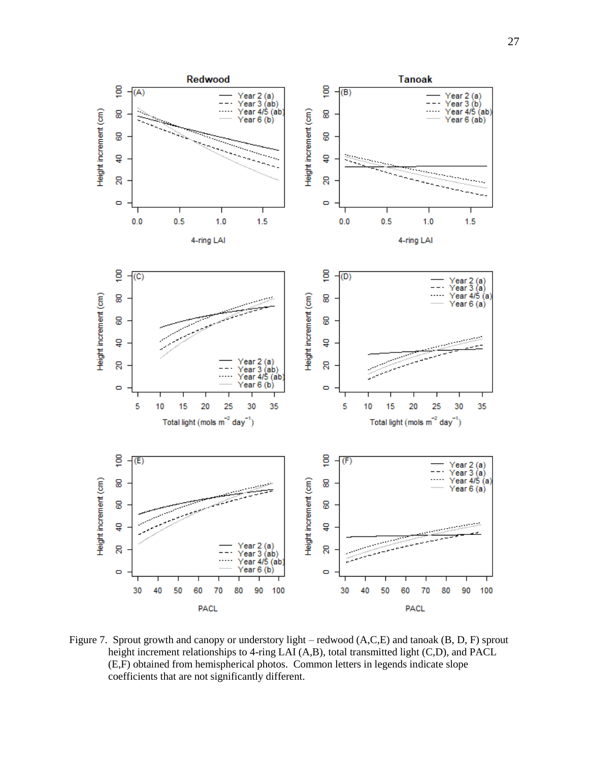

ã,

8

8

ទ

8

Ō

ĝ

8

8

ទ្

8

O

5

10

Height increment (cm)

 $0.0$ 

 $(C)$ 

Height increment (cm)

 $(A)$ 



<span id="page-34-0"></span>Figure 7. Sprout growth and canopy or understory light – redwood  $(A, C, E)$  and tanoak  $(B, D, F)$  sprout height increment relationships to 4-ring LAI (A,B), total transmitted light (C,D), and PACL (E,F) obtained from hemispherical photos. Common letters in legends indicate slope coefficients that are not significantly different.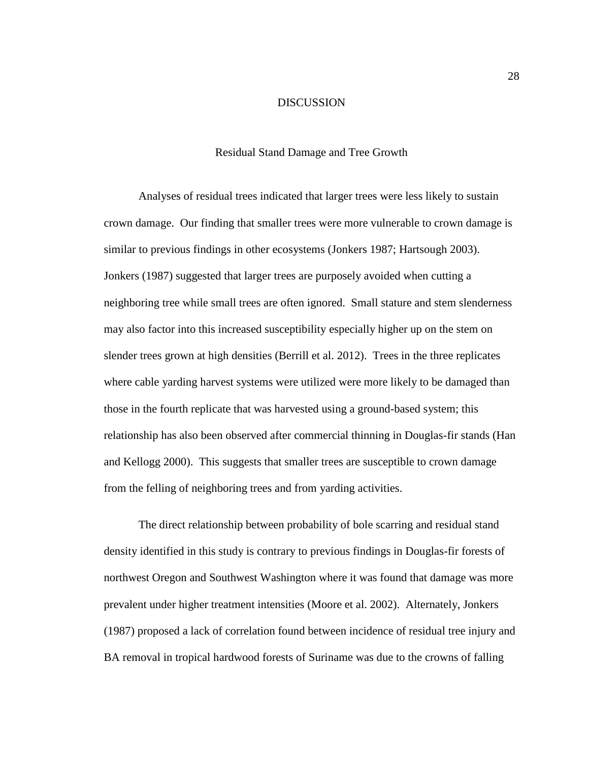#### DISCUSSION

#### Residual Stand Damage and Tree Growth

<span id="page-35-1"></span><span id="page-35-0"></span>Analyses of residual trees indicated that larger trees were less likely to sustain crown damage. Our finding that smaller trees were more vulnerable to crown damage is similar to previous findings in other ecosystems (Jonkers 1987; Hartsough 2003). Jonkers (1987) suggested that larger trees are purposely avoided when cutting a neighboring tree while small trees are often ignored. Small stature and stem slenderness may also factor into this increased susceptibility especially higher up on the stem on slender trees grown at high densities (Berrill et al. 2012). Trees in the three replicates where cable yarding harvest systems were utilized were more likely to be damaged than those in the fourth replicate that was harvested using a ground-based system; this relationship has also been observed after commercial thinning in Douglas-fir stands (Han and Kellogg 2000). This suggests that smaller trees are susceptible to crown damage from the felling of neighboring trees and from yarding activities.

The direct relationship between probability of bole scarring and residual stand density identified in this study is contrary to previous findings in Douglas-fir forests of northwest Oregon and Southwest Washington where it was found that damage was more prevalent under higher treatment intensities (Moore et al. 2002). Alternately, Jonkers (1987) proposed a lack of correlation found between incidence of residual tree injury and BA removal in tropical hardwood forests of Suriname was due to the crowns of falling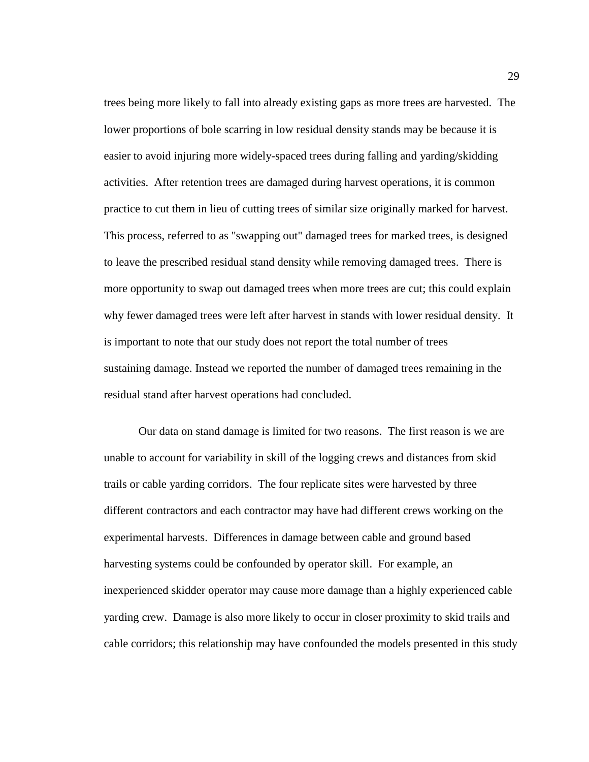trees being more likely to fall into already existing gaps as more trees are harvested. The lower proportions of bole scarring in low residual density stands may be because it is easier to avoid injuring more widely-spaced trees during falling and yarding/skidding activities. After retention trees are damaged during harvest operations, it is common practice to cut them in lieu of cutting trees of similar size originally marked for harvest. This process, referred to as "swapping out" damaged trees for marked trees, is designed to leave the prescribed residual stand density while removing damaged trees. There is more opportunity to swap out damaged trees when more trees are cut; this could explain why fewer damaged trees were left after harvest in stands with lower residual density. It is important to note that our study does not report the total number of trees sustaining damage. Instead we reported the number of damaged trees remaining in the residual stand after harvest operations had concluded.

Our data on stand damage is limited for two reasons. The first reason is we are unable to account for variability in skill of the logging crews and distances from skid trails or cable yarding corridors. The four replicate sites were harvested by three different contractors and each contractor may have had different crews working on the experimental harvests. Differences in damage between cable and ground based harvesting systems could be confounded by operator skill. For example, an inexperienced skidder operator may cause more damage than a highly experienced cable yarding crew. Damage is also more likely to occur in closer proximity to skid trails and cable corridors; this relationship may have confounded the models presented in this study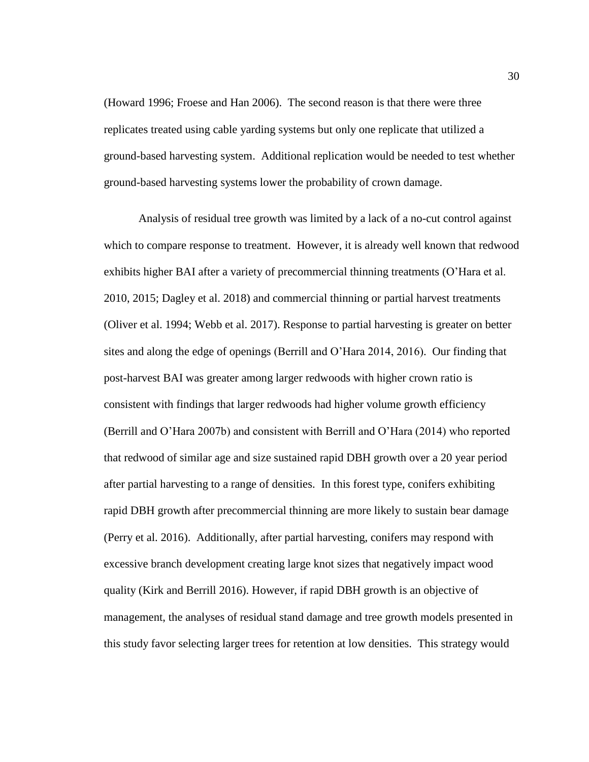(Howard 1996; Froese and Han 2006). The second reason is that there were three replicates treated using cable yarding systems but only one replicate that utilized a ground-based harvesting system. Additional replication would be needed to test whether ground-based harvesting systems lower the probability of crown damage.

Analysis of residual tree growth was limited by a lack of a no-cut control against which to compare response to treatment. However, it is already well known that redwood exhibits higher BAI after a variety of precommercial thinning treatments (O'Hara et al. 2010, 2015; Dagley et al. 2018) and commercial thinning or partial harvest treatments (Oliver et al. 1994; Webb et al. 2017). Response to partial harvesting is greater on better sites and along the edge of openings (Berrill and O'Hara 2014, 2016). Our finding that post-harvest BAI was greater among larger redwoods with higher crown ratio is consistent with findings that larger redwoods had higher volume growth efficiency (Berrill and O'Hara 2007b) and consistent with Berrill and O'Hara (2014) who reported that redwood of similar age and size sustained rapid DBH growth over a 20 year period after partial harvesting to a range of densities. In this forest type, conifers exhibiting rapid DBH growth after precommercial thinning are more likely to sustain bear damage (Perry et al. 2016). Additionally, after partial harvesting, conifers may respond with excessive branch development creating large knot sizes that negatively impact wood quality (Kirk and Berrill 2016). However, if rapid DBH growth is an objective of management, the analyses of residual stand damage and tree growth models presented in this study favor selecting larger trees for retention at low densities. This strategy would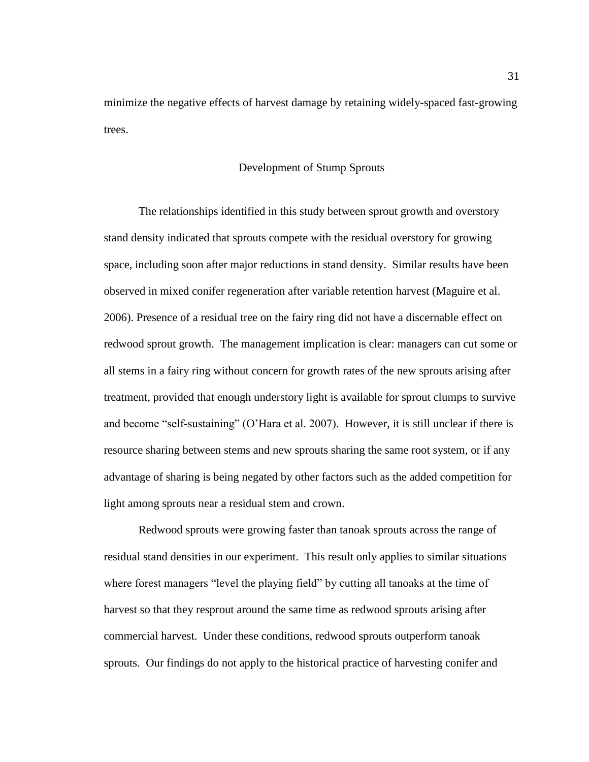minimize the negative effects of harvest damage by retaining widely-spaced fast-growing trees.

#### Development of Stump Sprouts

<span id="page-38-0"></span>The relationships identified in this study between sprout growth and overstory stand density indicated that sprouts compete with the residual overstory for growing space, including soon after major reductions in stand density. Similar results have been observed in mixed conifer regeneration after variable retention harvest (Maguire et al. 2006). Presence of a residual tree on the fairy ring did not have a discernable effect on redwood sprout growth. The management implication is clear: managers can cut some or all stems in a fairy ring without concern for growth rates of the new sprouts arising after treatment, provided that enough understory light is available for sprout clumps to survive and become "self-sustaining" (O'Hara et al. 2007). However, it is still unclear if there is resource sharing between stems and new sprouts sharing the same root system, or if any advantage of sharing is being negated by other factors such as the added competition for light among sprouts near a residual stem and crown.

Redwood sprouts were growing faster than tanoak sprouts across the range of residual stand densities in our experiment. This result only applies to similar situations where forest managers "level the playing field" by cutting all tanoaks at the time of harvest so that they resprout around the same time as redwood sprouts arising after commercial harvest. Under these conditions, redwood sprouts outperform tanoak sprouts. Our findings do not apply to the historical practice of harvesting conifer and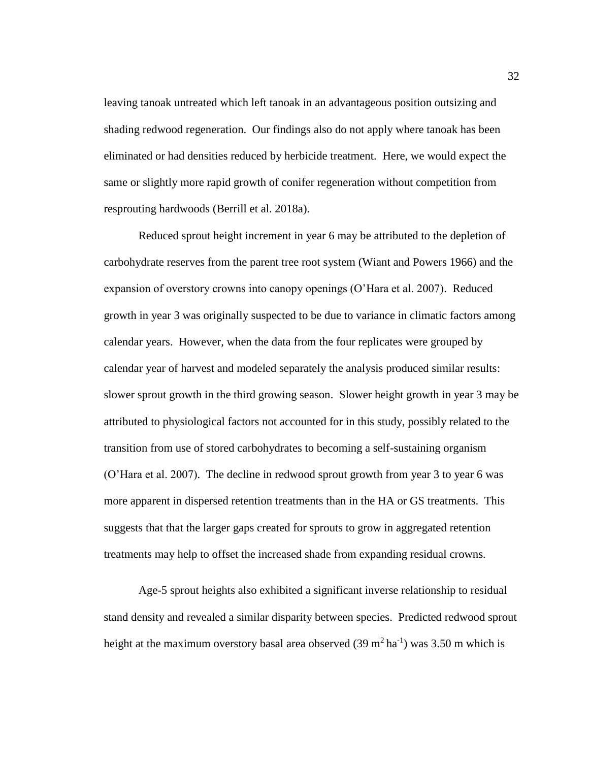leaving tanoak untreated which left tanoak in an advantageous position outsizing and shading redwood regeneration. Our findings also do not apply where tanoak has been eliminated or had densities reduced by herbicide treatment. Here, we would expect the same or slightly more rapid growth of conifer regeneration without competition from resprouting hardwoods (Berrill et al. 2018a).

Reduced sprout height increment in year 6 may be attributed to the depletion of carbohydrate reserves from the parent tree root system (Wiant and Powers 1966) and the expansion of overstory crowns into canopy openings (O'Hara et al. 2007). Reduced growth in year 3 was originally suspected to be due to variance in climatic factors among calendar years. However, when the data from the four replicates were grouped by calendar year of harvest and modeled separately the analysis produced similar results: slower sprout growth in the third growing season. Slower height growth in year 3 may be attributed to physiological factors not accounted for in this study, possibly related to the transition from use of stored carbohydrates to becoming a self-sustaining organism (O'Hara et al. 2007). The decline in redwood sprout growth from year 3 to year 6 was more apparent in dispersed retention treatments than in the HA or GS treatments. This suggests that that the larger gaps created for sprouts to grow in aggregated retention treatments may help to offset the increased shade from expanding residual crowns.

Age-5 sprout heights also exhibited a significant inverse relationship to residual stand density and revealed a similar disparity between species. Predicted redwood sprout height at the maximum overstory basal area observed  $(39 \text{ m}^2 \text{ ha}^{-1})$  was 3.50 m which is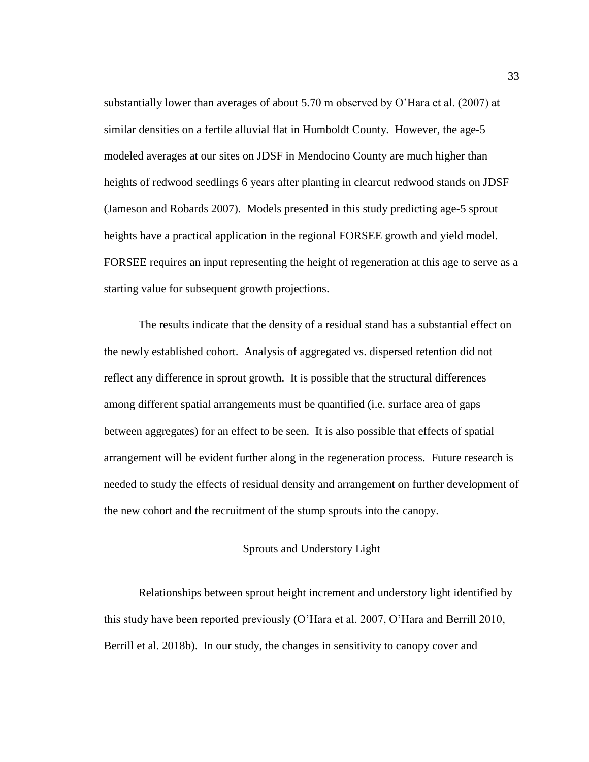substantially lower than averages of about 5.70 m observed by O'Hara et al. (2007) at similar densities on a fertile alluvial flat in Humboldt County. However, the age-5 modeled averages at our sites on JDSF in Mendocino County are much higher than heights of redwood seedlings 6 years after planting in clearcut redwood stands on JDSF (Jameson and Robards 2007). Models presented in this study predicting age-5 sprout heights have a practical application in the regional FORSEE growth and yield model. FORSEE requires an input representing the height of regeneration at this age to serve as a starting value for subsequent growth projections.

The results indicate that the density of a residual stand has a substantial effect on the newly established cohort. Analysis of aggregated vs. dispersed retention did not reflect any difference in sprout growth. It is possible that the structural differences among different spatial arrangements must be quantified (i.e. surface area of gaps between aggregates) for an effect to be seen. It is also possible that effects of spatial arrangement will be evident further along in the regeneration process. Future research is needed to study the effects of residual density and arrangement on further development of the new cohort and the recruitment of the stump sprouts into the canopy.

## Sprouts and Understory Light

<span id="page-40-0"></span>Relationships between sprout height increment and understory light identified by this study have been reported previously (O'Hara et al. 2007, O'Hara and Berrill 2010, Berrill et al. 2018b). In our study, the changes in sensitivity to canopy cover and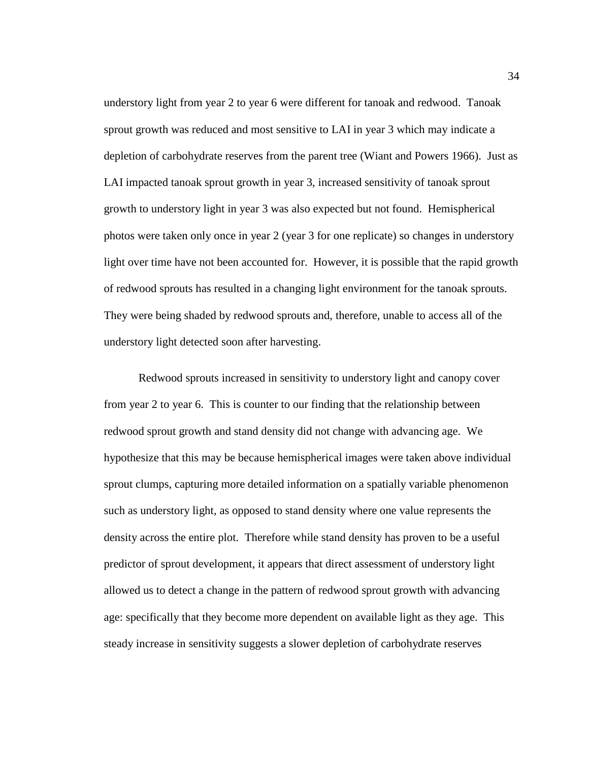understory light from year 2 to year 6 were different for tanoak and redwood. Tanoak sprout growth was reduced and most sensitive to LAI in year 3 which may indicate a depletion of carbohydrate reserves from the parent tree (Wiant and Powers 1966). Just as LAI impacted tanoak sprout growth in year 3, increased sensitivity of tanoak sprout growth to understory light in year 3 was also expected but not found. Hemispherical photos were taken only once in year 2 (year 3 for one replicate) so changes in understory light over time have not been accounted for. However, it is possible that the rapid growth of redwood sprouts has resulted in a changing light environment for the tanoak sprouts. They were being shaded by redwood sprouts and, therefore, unable to access all of the understory light detected soon after harvesting.

Redwood sprouts increased in sensitivity to understory light and canopy cover from year 2 to year 6. This is counter to our finding that the relationship between redwood sprout growth and stand density did not change with advancing age. We hypothesize that this may be because hemispherical images were taken above individual sprout clumps, capturing more detailed information on a spatially variable phenomenon such as understory light, as opposed to stand density where one value represents the density across the entire plot. Therefore while stand density has proven to be a useful predictor of sprout development, it appears that direct assessment of understory light allowed us to detect a change in the pattern of redwood sprout growth with advancing age: specifically that they become more dependent on available light as they age. This steady increase in sensitivity suggests a slower depletion of carbohydrate reserves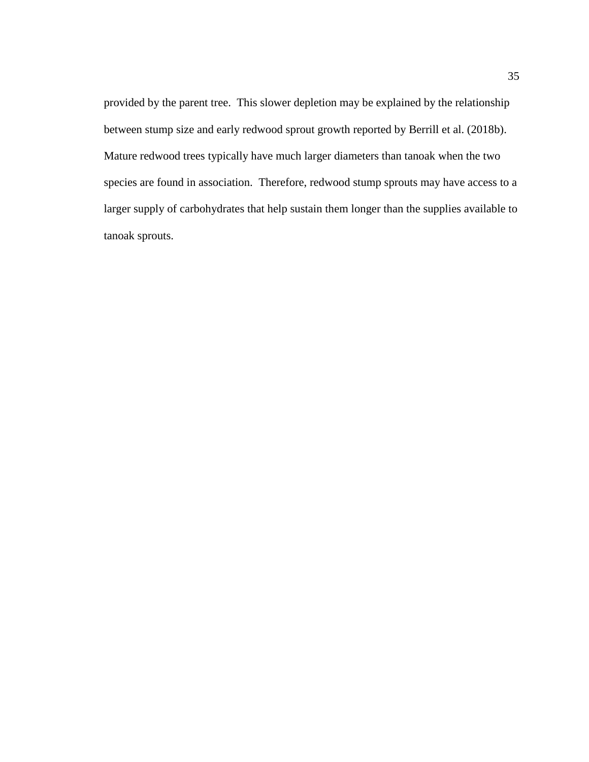provided by the parent tree. This slower depletion may be explained by the relationship between stump size and early redwood sprout growth reported by Berrill et al. (2018b). Mature redwood trees typically have much larger diameters than tanoak when the two species are found in association. Therefore, redwood stump sprouts may have access to a larger supply of carbohydrates that help sustain them longer than the supplies available to tanoak sprouts.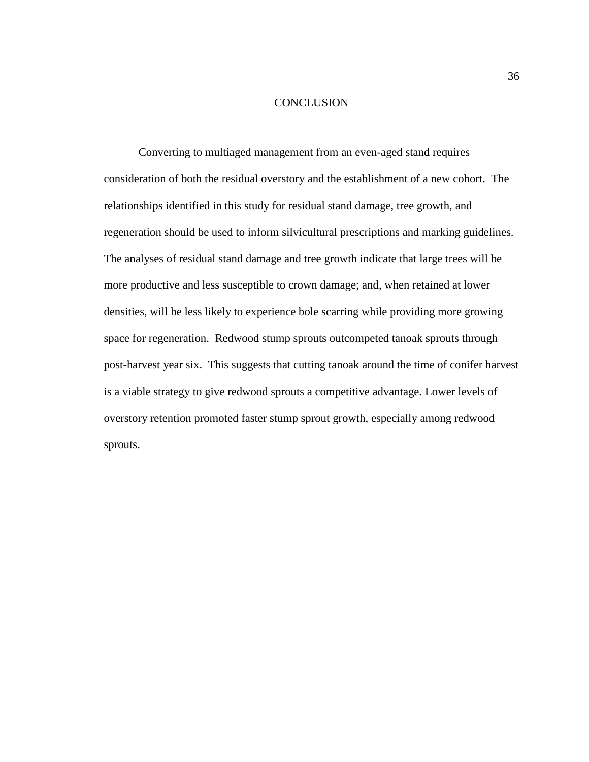#### **CONCLUSION**

<span id="page-43-0"></span>Converting to multiaged management from an even-aged stand requires consideration of both the residual overstory and the establishment of a new cohort. The relationships identified in this study for residual stand damage, tree growth, and regeneration should be used to inform silvicultural prescriptions and marking guidelines. The analyses of residual stand damage and tree growth indicate that large trees will be more productive and less susceptible to crown damage; and, when retained at lower densities, will be less likely to experience bole scarring while providing more growing space for regeneration. Redwood stump sprouts outcompeted tanoak sprouts through post-harvest year six. This suggests that cutting tanoak around the time of conifer harvest is a viable strategy to give redwood sprouts a competitive advantage. Lower levels of overstory retention promoted faster stump sprout growth, especially among redwood sprouts.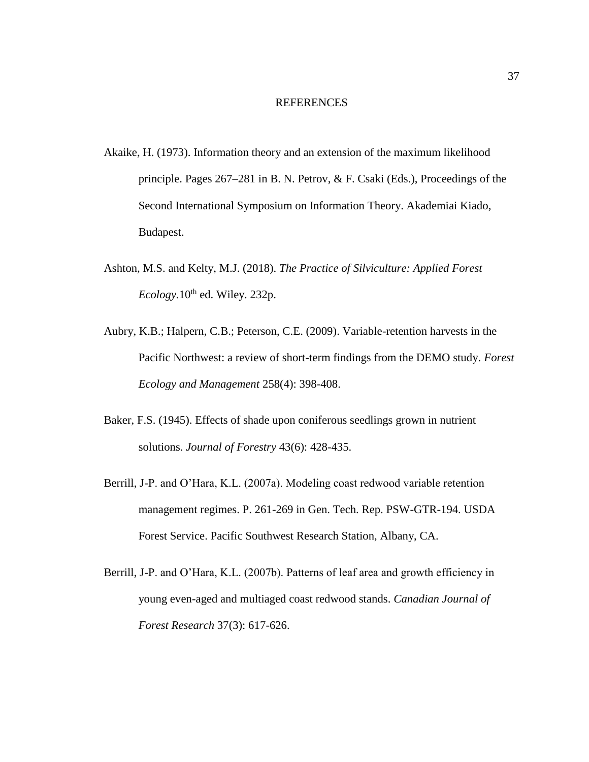#### REFERENCES

- <span id="page-44-0"></span>Akaike, H. (1973). Information theory and an extension of the maximum likelihood principle. Pages 267–281 in B. N. Petrov, & F. Csaki (Eds.), Proceedings of the Second International Symposium on Information Theory. Akademiai Kiado, Budapest.
- Ashton, M.S. and Kelty, M.J. (2018). *The Practice of Silviculture: Applied Forest*   $Ecology.10<sup>th</sup>$  ed. Wiley. 232p.
- Aubry, K.B.; Halpern, C.B.; Peterson, C.E. (2009). Variable-retention harvests in the Pacific Northwest: a review of short-term findings from the DEMO study. *Forest Ecology and Management* 258(4): 398-408.
- Baker, F.S. (1945). Effects of shade upon coniferous seedlings grown in nutrient solutions. *Journal of Forestry* 43(6): 428-435.
- Berrill, J-P. and O'Hara, K.L. (2007a). Modeling coast redwood variable retention management regimes. P. 261-269 in Gen. Tech. Rep. PSW-GTR-194. USDA Forest Service. Pacific Southwest Research Station, Albany, CA.
- Berrill, J-P. and O'Hara, K.L. (2007b). Patterns of leaf area and growth efficiency in young even-aged and multiaged coast redwood stands. *Canadian Journal of Forest Research* 37(3): 617-626.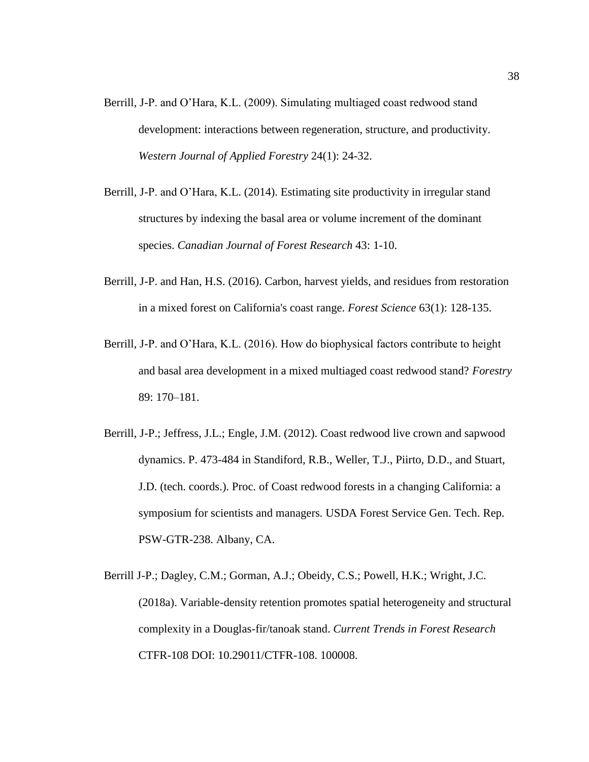- Berrill, J-P. and O'Hara, K.L. (2009). Simulating multiaged coast redwood stand development: interactions between regeneration, structure, and productivity. *Western Journal of Applied Forestry* 24(1): 24-32.
- Berrill, J-P. and O'Hara, K.L. (2014). Estimating site productivity in irregular stand structures by indexing the basal area or volume increment of the dominant species. *Canadian Journal of Forest Research* 43: 1-10.
- Berrill, J-P. and Han, H.S. (2016). Carbon, harvest yields, and residues from restoration in a mixed forest on California's coast range. *Forest Science* 63(1): 128-135.
- Berrill, J-P. and O'Hara, K.L. (2016). How do biophysical factors contribute to height and basal area development in a mixed multiaged coast redwood stand? *Forestry* 89: 170–181.
- Berrill, J-P.; Jeffress, J.L.; Engle, J.M. (2012). Coast redwood live crown and sapwood dynamics. P. 473-484 in Standiford, R.B., Weller, T.J., Piirto, D.D., and Stuart, J.D. (tech. coords.). Proc. of Coast redwood forests in a changing California: a symposium for scientists and managers*.* USDA Forest Service Gen. Tech. Rep. PSW-GTR-238. Albany, CA.
- Berrill J-P.; Dagley, C.M.; Gorman, A.J.; Obeidy, C.S.; Powell, H.K.; Wright, J.C. (2018a). Variable-density retention promotes spatial heterogeneity and structural complexity in a Douglas-fir/tanoak stand. *Current Trends in Forest Research* CTFR-108 DOI: 10.29011/CTFR-108. 100008.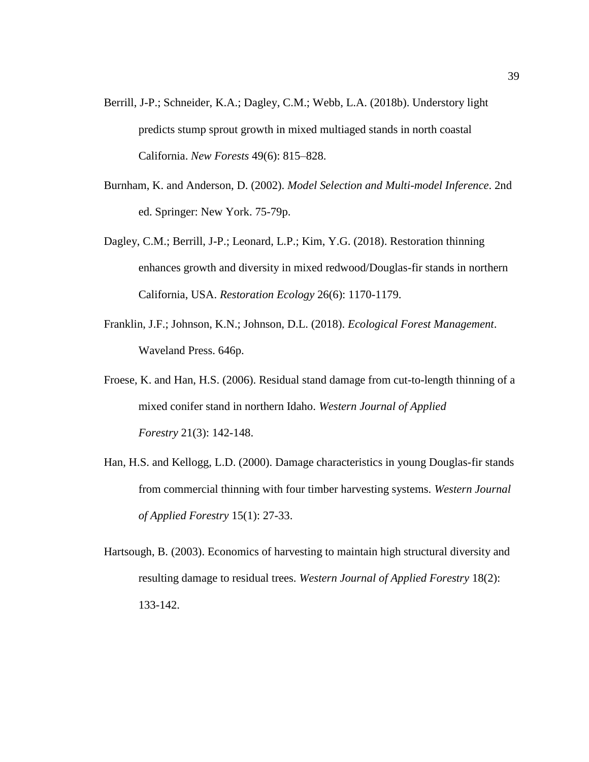- Berrill, J-P.; Schneider, K.A.; Dagley, C.M.; Webb, L.A. (2018b). Understory light predicts stump sprout growth in mixed multiaged stands in north coastal California. *New Forests* 49(6): 815–828.
- Burnham, K. and Anderson, D. (2002). *Model Selection and Multi-model Inference*. 2nd ed. Springer: New York. 75-79p.
- Dagley, C.M.; Berrill, J-P.; Leonard, L.P.; Kim, Y.G. (2018). Restoration thinning enhances growth and diversity in mixed redwood/Douglas-fir stands in northern California, USA. *Restoration Ecology* 26(6): 1170-1179.
- Franklin, J.F.; Johnson, K.N.; Johnson, D.L. (2018). *Ecological Forest Management*. Waveland Press. 646p.
- Froese, K. and Han, H.S. (2006). Residual stand damage from cut-to-length thinning of a mixed conifer stand in northern Idaho. *Western Journal of Applied Forestry* 21(3): 142-148.
- Han, H.S. and Kellogg, L.D. (2000). Damage characteristics in young Douglas-fir stands from commercial thinning with four timber harvesting systems. *Western Journal of Applied Forestry* 15(1): 27-33.
- Hartsough, B. (2003). Economics of harvesting to maintain high structural diversity and resulting damage to residual trees. *Western Journal of Applied Forestry* 18(2): 133-142.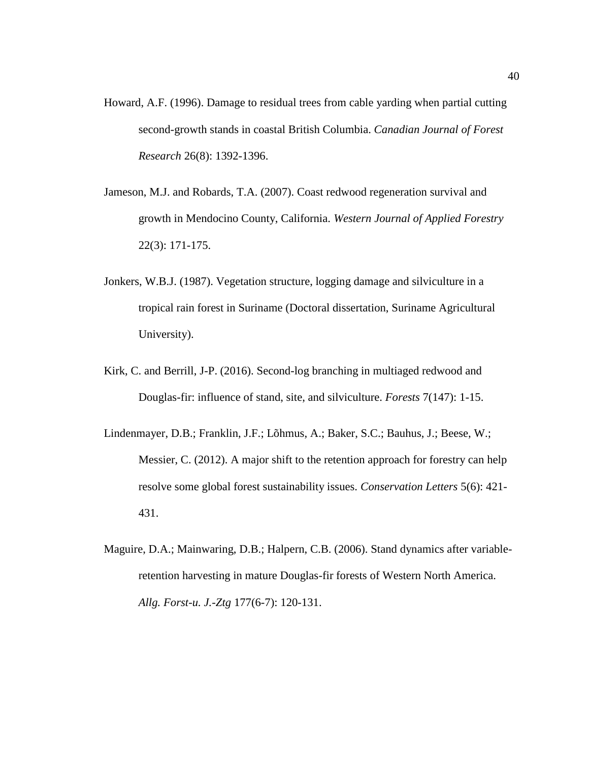- Howard, A.F. (1996). Damage to residual trees from cable yarding when partial cutting second-growth stands in coastal British Columbia. *Canadian Journal of Forest Research* 26(8): 1392-1396.
- Jameson, M.J. and Robards, T.A. (2007). Coast redwood regeneration survival and growth in Mendocino County, California. *Western Journal of Applied Forestry* 22(3): 171-175.
- Jonkers, W.B.J. (1987). Vegetation structure, logging damage and silviculture in a tropical rain forest in Suriname (Doctoral dissertation, Suriname Agricultural University).
- Kirk, C. and Berrill, J-P. (2016). Second-log branching in multiaged redwood and Douglas-fir: influence of stand, site, and silviculture. *Forests* 7(147): 1-15.
- Lindenmayer, D.B.; Franklin, J.F.; Lõhmus, A.; Baker, S.C.; Bauhus, J.; Beese, W.; Messier, C. (2012). A major shift to the retention approach for forestry can help resolve some global forest sustainability issues. *Conservation Letters* 5(6): 421- 431.
- Maguire, D.A.; Mainwaring, D.B.; Halpern, C.B. (2006). Stand dynamics after variableretention harvesting in mature Douglas-fir forests of Western North America. *Allg. Forst-u. J.-Ztg* 177(6-7): 120-131.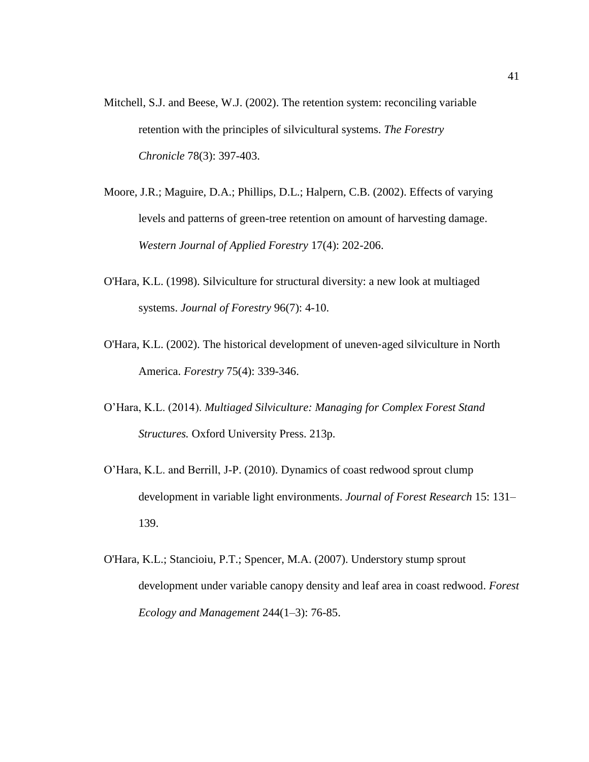- Mitchell, S.J. and Beese, W.J. (2002). The retention system: reconciling variable retention with the principles of silvicultural systems. *The Forestry Chronicle* 78(3): 397-403.
- Moore, J.R.; Maguire, D.A.; Phillips, D.L.; Halpern, C.B. (2002). Effects of varying levels and patterns of green-tree retention on amount of harvesting damage. *Western Journal of Applied Forestry* 17(4): 202-206.
- O'Hara, K.L. (1998). Silviculture for structural diversity: a new look at multiaged systems. *Journal of Forestry* 96(7): 4-10.
- O'Hara, K.L. (2002). The historical development of uneven‐aged silviculture in North America. *Forestry* 75(4): 339-346.
- O'Hara, K.L. (2014). *Multiaged Silviculture: Managing for Complex Forest Stand Structures.* Oxford University Press. 213p.
- O'Hara, K.L. and Berrill, J-P. (2010). Dynamics of coast redwood sprout clump development in variable light environments. *Journal of Forest Research* 15: 131– 139.
- O'Hara, K.L.; Stancioiu, P.T.; Spencer, M.A. (2007). Understory stump sprout development under variable canopy density and leaf area in coast redwood. *Forest Ecology and Management* 244(1–3): 76-85.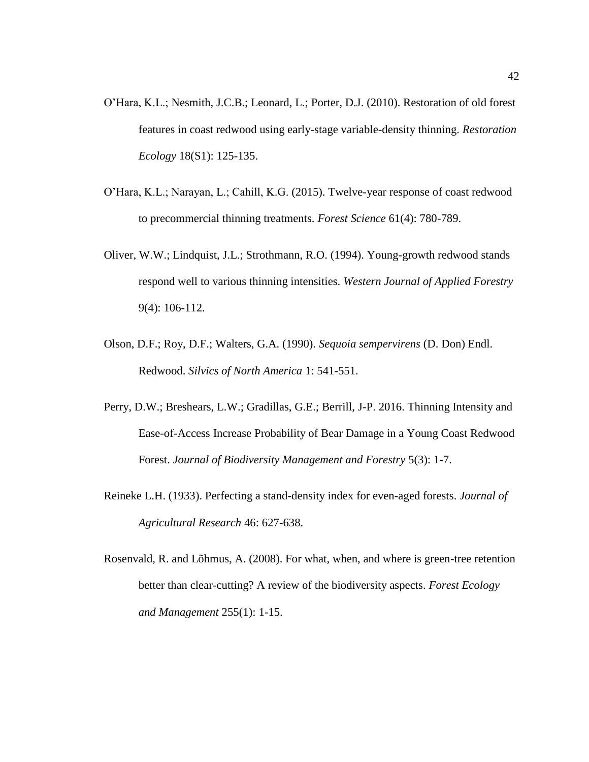- O'Hara, K.L.; Nesmith, J.C.B.; Leonard, L.; Porter, D.J. (2010). Restoration of old forest features in coast redwood using early-stage variable-density thinning. *Restoration Ecology* 18(S1): 125-135.
- O'Hara, K.L.; Narayan, L.; Cahill, K.G. (2015). Twelve-year response of coast redwood to precommercial thinning treatments. *Forest Science* 61(4): 780-789.
- Oliver, W.W.; Lindquist, J.L.; Strothmann, R.O. (1994). Young-growth redwood stands respond well to various thinning intensities. *Western Journal of Applied Forestry* 9(4): 106-112.
- Olson, D.F.; Roy, D.F.; Walters, G.A. (1990). *Sequoia sempervirens* (D. Don) Endl. Redwood. *Silvics of North America* 1: 541-551.
- Perry, D.W.; Breshears, L.W.; Gradillas, G.E.; Berrill, J-P. 2016. Thinning Intensity and Ease-of-Access Increase Probability of Bear Damage in a Young Coast Redwood Forest. *Journal of Biodiversity Management and Forestry* 5(3): 1-7.
- Reineke L.H. (1933). Perfecting a stand-density index for even-aged forests. *Journal of Agricultural Research* 46: 627-638.
- Rosenvald, R. and Lõhmus, A. (2008). For what, when, and where is green-tree retention better than clear-cutting? A review of the biodiversity aspects. *Forest Ecology and Management* 255(1): 1-15.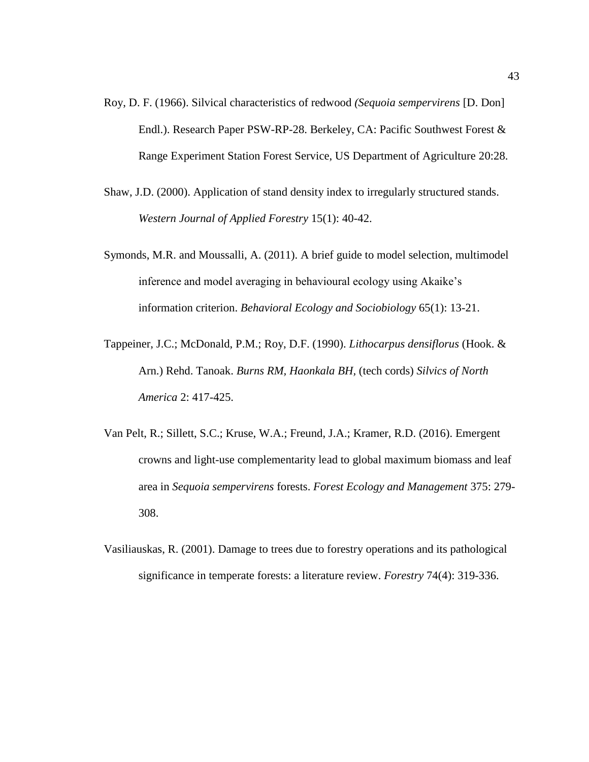- Roy, D. F. (1966). Silvical characteristics of redwood *(Sequoia sempervirens* [D. Don] Endl.). Research Paper PSW-RP-28. Berkeley, CA: Pacific Southwest Forest & Range Experiment Station Forest Service, US Department of Agriculture 20:28.
- Shaw, J.D. (2000). Application of stand density index to irregularly structured stands. *Western Journal of Applied Forestry* 15(1): 40-42.
- Symonds, M.R. and Moussalli, A. (2011). A brief guide to model selection, multimodel inference and model averaging in behavioural ecology using Akaike's information criterion. *Behavioral Ecology and Sociobiology* 65(1): 13-21.
- Tappeiner, J.C.; McDonald, P.M.; Roy, D.F. (1990). *Lithocarpus densiflorus* (Hook. & Arn.) Rehd. Tanoak. *Burns RM, Haonkala BH,* (tech cords) *Silvics of North America* 2: 417-425.
- Van Pelt, R.; Sillett, S.C.; Kruse, W.A.; Freund, J.A.; Kramer, R.D. (2016). Emergent crowns and light-use complementarity lead to global maximum biomass and leaf area in *Sequoia sempervirens* forests. *Forest Ecology and Management* 375: 279- 308.
- Vasiliauskas, R. (2001). Damage to trees due to forestry operations and its pathological significance in temperate forests: a literature review. *Forestry* 74(4): 319-336.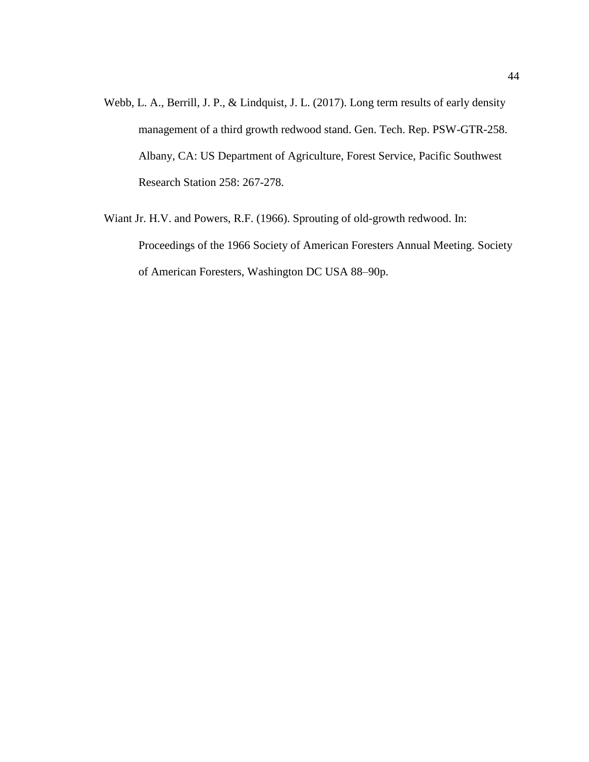- Webb, L. A., Berrill, J. P., & Lindquist, J. L. (2017). Long term results of early density management of a third growth redwood stand. Gen. Tech. Rep. PSW-GTR-258. Albany, CA: US Department of Agriculture, Forest Service, Pacific Southwest Research Station 258: 267-278.
- Wiant Jr. H.V. and Powers, R.F. (1966). Sprouting of old-growth redwood. In: Proceedings of the 1966 Society of American Foresters Annual Meeting. Society of American Foresters, Washington DC USA 88–90p.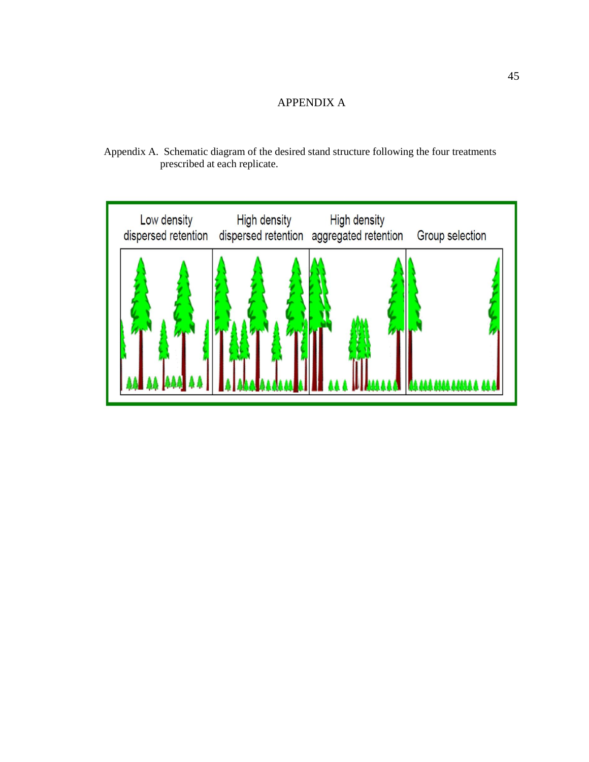# APPENDIX A

<span id="page-52-1"></span><span id="page-52-0"></span>Appendix A. Schematic diagram of the desired stand structure following the four treatments prescribed at each replicate.